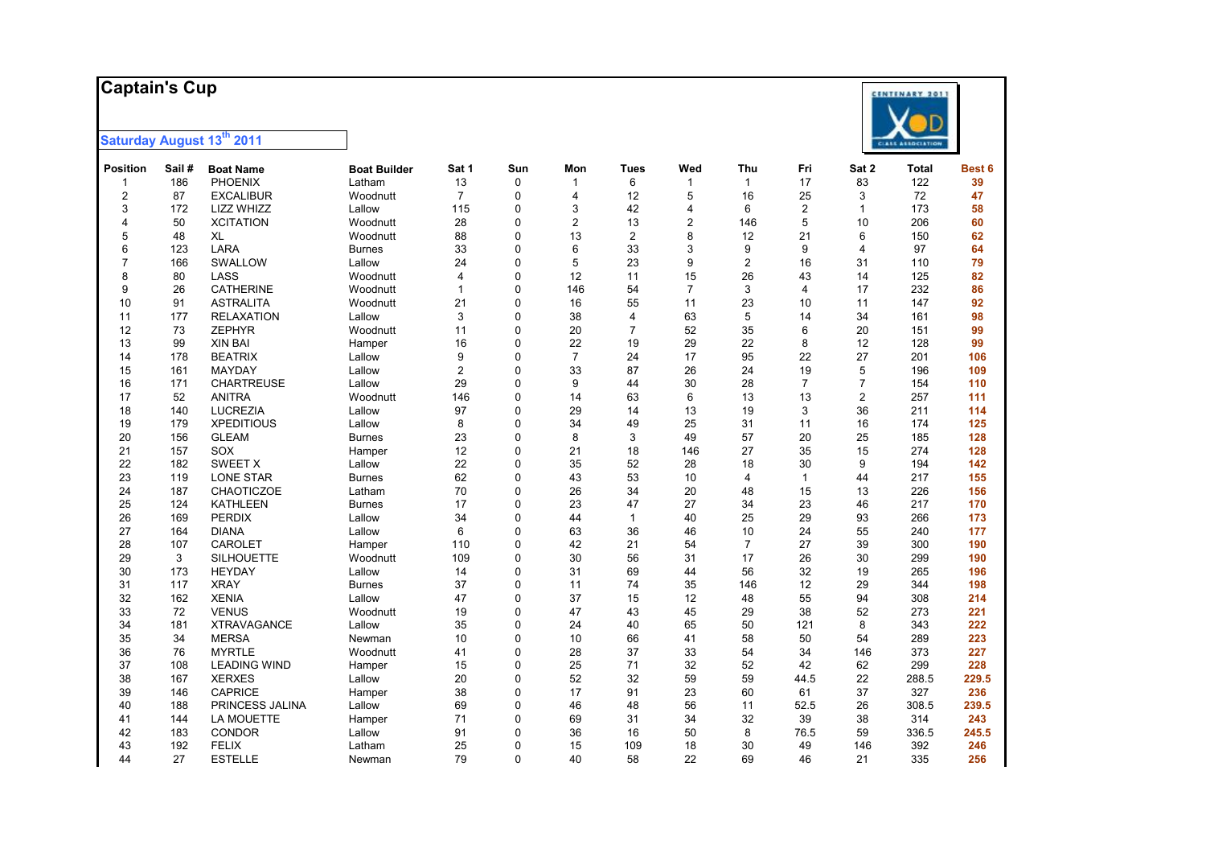### **Captai n's Cup**



| <b>Position</b> | Sail# | <b>Boat Name</b>    | <b>Boat Builder</b> | Sat 1          | Sun      | Mon            | <b>Tues</b>    | Wed            | Thu            | Fri            | Sat 2          | <b>Total</b> | Best 6 |
|-----------------|-------|---------------------|---------------------|----------------|----------|----------------|----------------|----------------|----------------|----------------|----------------|--------------|--------|
| 1               | 186   | <b>PHOENIX</b>      | Latham              | 13             | 0        | $\mathbf{1}$   | 6              | $\mathbf{1}$   | $\mathbf{1}$   | 17             | 83             | 122          | 39     |
| $\overline{2}$  | 87    | <b>EXCALIBUR</b>    | Woodnutt            | $\overline{7}$ | $\Omega$ | $\overline{4}$ | 12             | 5              | 16             | 25             | 3              | 72           | 47     |
| 3               | 172   | LIZZ WHIZZ          | Lallow              | 115            | $\Omega$ | 3              | 42             | 4              | 6              | $\overline{2}$ | $\mathbf{1}$   | 173          | 58     |
| $\overline{4}$  | 50    | <b>XCITATION</b>    | Woodnutt            | 28             | $\Omega$ | $\overline{2}$ | 13             | $\overline{2}$ | 146            | 5              | 10             | 206          | 60     |
| 5               | 48    | XL                  | Woodnutt            | 88             | $\Omega$ | 13             | $\overline{2}$ | 8              | 12             | 21             | 6              | 150          | 62     |
| 6               | 123   | LARA                | <b>Burnes</b>       | 33             | $\Omega$ | 6              | 33             | 3              | 9              | 9              | $\overline{4}$ | 97           | 64     |
| $\overline{7}$  | 166   | SWALLOW             | Lallow              | 24             | $\Omega$ | 5              | 23             | 9              | $\overline{c}$ | 16             | 31             | 110          | 79     |
| 8               | 80    | LASS                | Woodnutt            | $\overline{4}$ | $\Omega$ | 12             | 11             | 15             | 26             | 43             | 14             | 125          | 82     |
| 9               | 26    | <b>CATHERINE</b>    | Woodnutt            | $\mathbf{1}$   | $\Omega$ | 146            | 54             | $\overline{7}$ | 3              | 4              | 17             | 232          | 86     |
| 10              | 91    | <b>ASTRALITA</b>    | Woodnutt            | 21             | $\Omega$ | 16             | 55             | 11             | 23             | 10             | 11             | 147          | 92     |
| 11              | 177   | <b>RELAXATION</b>   | Lallow              | 3              | $\Omega$ | 38             | 4              | 63             | 5              | 14             | 34             | 161          | 98     |
| 12              | 73    | ZEPHYR              | Woodnutt            | 11             | $\Omega$ | 20             | $\overline{7}$ | 52             | 35             | 6              | 20             | 151          | 99     |
| 13              | 99    | <b>XIN BAI</b>      | Hamper              | 16             | $\Omega$ | 22             | 19             | 29             | 22             | 8              | 12             | 128          | 99     |
| 14              | 178   | <b>BEATRIX</b>      | Lallow              | 9              | $\Omega$ | $\overline{7}$ | 24             | 17             | 95             | 22             | 27             | 201          | 106    |
| 15              | 161   | <b>MAYDAY</b>       | Lallow              | 2              | $\Omega$ | 33             | 87             | 26             | 24             | 19             | 5              | 196          | 109    |
| 16              | 171   | <b>CHARTREUSE</b>   | Lallow              | 29             | $\Omega$ | 9              | 44             | 30             | 28             | $\overline{7}$ | $\overline{7}$ | 154          | 110    |
| 17              | 52    | <b>ANITRA</b>       | Woodnutt            | 146            | $\Omega$ | 14             | 63             | 6              | 13             | 13             | $\overline{2}$ | 257          | 111    |
| 18              | 140   | <b>LUCREZIA</b>     | Lallow              | 97             | $\Omega$ | 29             | 14             | 13             | 19             | 3              | 36             | 211          | 114    |
| 19              | 179   | <b>XPEDITIOUS</b>   | Lallow              | 8              | $\Omega$ | 34             | 49             | 25             | 31             | 11             | 16             | 174          | 125    |
| 20              | 156   | <b>GLEAM</b>        | <b>Burnes</b>       | 23             | $\Omega$ | 8              | 3              | 49             | 57             | 20             | 25             | 185          | 128    |
| 21              | 157   | <b>SOX</b>          | Hamper              | 12             | $\Omega$ | 21             | 18             | 146            | 27             | 35             | 15             | 274          | 128    |
| 22              | 182   | <b>SWEET X</b>      | Lallow              | 22             | $\Omega$ | 35             | 52             | 28             | 18             | 30             | 9              | 194          | 142    |
| 23              | 119   | <b>LONE STAR</b>    | Burnes              | 62             | $\Omega$ | 43             | 53             | 10             | $\overline{4}$ | $\mathbf{1}$   | 44             | 217          | 155    |
| 24              | 187   | CHAOTICZOE          | Latham              | 70             | $\Omega$ | 26             | 34             | 20             | 48             | 15             | 13             | 226          | 156    |
| 25              | 124   | <b>KATHLEEN</b>     | Burnes              | 17             | $\Omega$ | 23             | 47             | 27             | 34             | 23             | 46             | 217          | 170    |
| 26              | 169   | <b>PERDIX</b>       | Lallow              | 34             | $\Omega$ | 44             | $\mathbf{1}$   | 40             | 25             | 29             | 93             | 266          | 173    |
| 27              | 164   | <b>DIANA</b>        | Lallow              | 6              | $\Omega$ | 63             | 36             | 46             | 10             | 24             | 55             | 240          | 177    |
| 28              | 107   | CAROLET             | Hamper              | 110            | $\Omega$ | 42             | 21             | 54             | $\overline{7}$ | 27             | 39             | 300          | 190    |
| 29              | 3     | <b>SILHOUETTE</b>   | Woodnutt            | 109            | $\Omega$ | 30             | 56             | 31             | 17             | 26             | 30             | 299          | 190    |
| 30              | 173   | <b>HEYDAY</b>       | Lallow              | 14             | $\Omega$ | 31             | 69             | 44             | 56             | 32             | 19             | 265          | 196    |
| 31              | 117   | <b>XRAY</b>         | Burnes              | 37             | $\Omega$ | 11             | 74             | 35             | 146            | 12             | 29             | 344          | 198    |
| 32              | 162   | <b>XENIA</b>        | Lallow              | 47             | $\Omega$ | 37             | 15             | 12             | 48             | 55             | 94             | 308          | 214    |
| 33              | 72    | <b>VENUS</b>        | Woodnutt            | 19             | $\Omega$ | 47             | 43             | 45             | 29             | 38             | 52             | 273          | 221    |
| 34              | 181   | <b>XTRAVAGANCE</b>  | Lallow              | 35             | $\Omega$ | 24             | 40             | 65             | 50             | 121            | 8              | 343          | 222    |
| 35              | 34    | <b>MERSA</b>        | Newman              | 10             | $\Omega$ | 10             | 66             | 41             | 58             | 50             | 54             | 289          | 223    |
| 36              | 76    | <b>MYRTLE</b>       | Woodnutt            | 41             | $\Omega$ | 28             | 37             | 33             | 54             | 34             | 146            | 373          | 227    |
| 37              | 108   | <b>LEADING WIND</b> | Hamper              | 15             | $\Omega$ | 25             | 71             | 32             | 52             | 42             | 62             | 299          | 228    |
| 38              | 167   | <b>XERXES</b>       | Lallow              | 20             | $\Omega$ | 52             | 32             | 59             | 59             | 44.5           | 22             | 288.5        | 229.5  |
| 39              | 146   | <b>CAPRICE</b>      | Hamper              | 38             | $\Omega$ | 17             | 91             | 23             | 60             | 61             | 37             | 327          | 236    |
| 40              | 188   | PRINCESS JALINA     | Lallow              | 69             | $\Omega$ | 46             | 48             | 56             | 11             | 52.5           | 26             | 308.5        | 239.5  |
| 41              | 144   | <b>LA MOUETTE</b>   | Hamper              | 71             | $\Omega$ | 69             | 31             | 34             | 32             | 39             | 38             | 314          | 243    |
| 42              | 183   | <b>CONDOR</b>       | Lallow              | 91             | $\Omega$ | 36             | 16             | 50             | 8              | 76.5           | 59             | 336.5        | 245.5  |
| 43              | 192   | <b>FELIX</b>        | Latham              | 25             | $\Omega$ | 15             | 109            | 18             | 30             | 49             | 146            | 392          | 246    |
| 44              | 27    | <b>ESTELLE</b>      | Newman              | 79             | $\Omega$ | 40             | 58             | 22             | 69             | 46             | 21             | 335          | 256    |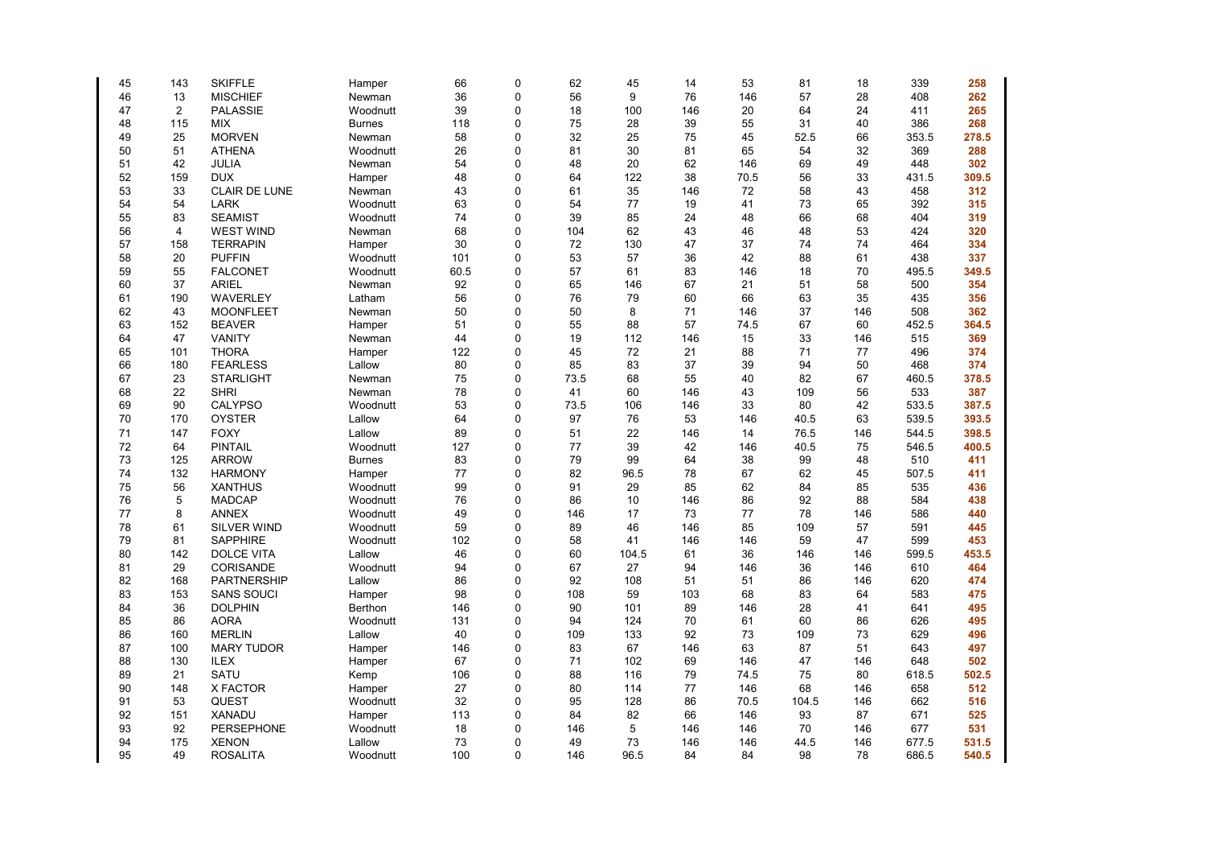| 45 | 143        | <b>SKIFFLE</b>       | Hamper        | 66       | $\mathbf 0$  | 62       | 45    | 14       | 53       | 81    | 18       | 339          | 258   |
|----|------------|----------------------|---------------|----------|--------------|----------|-------|----------|----------|-------|----------|--------------|-------|
| 46 | 13         | <b>MISCHIEF</b>      | Newman        | 36       | $\mathbf 0$  | 56       | 9     | 76       | 146      | 57    | 28       | 408          | 262   |
| 47 | 2          | <b>PALASSIE</b>      | Woodnutt      | 39       | $\mathbf{0}$ | 18       | 100   | 146      | 20       | 64    | 24       | 411          | 265   |
| 48 | 115        | <b>MIX</b>           | <b>Burnes</b> | 118      | $\mathbf 0$  | 75       | 28    | 39       | 55       | 31    | 40       | 386          | 268   |
| 49 | 25         | <b>MORVEN</b>        | Newman        | 58       | $\mathbf 0$  | 32       | 25    | 75       | 45       | 52.5  | 66       | 353.5        | 278.5 |
| 50 | 51         | <b>ATHENA</b>        | Woodnutt      | 26       | $\mathbf 0$  | 81       | 30    | 81       | 65       | 54    | 32       | 369          | 288   |
| 51 | 42         | JULIA                | Newman        | 54       | $\mathbf 0$  | 48       | 20    | 62       | 146      | 69    | 49       | 448          | 302   |
| 52 | 159        | <b>DUX</b>           | Hamper        | 48       | $\mathbf 0$  | 64       | 122   | 38       | 70.5     | 56    | 33       | 431.5        | 309.5 |
| 53 | 33         | <b>CLAIR DE LUNE</b> | Newman        | 43       | $\mathbf 0$  | 61       | 35    | 146      | 72       | 58    | 43       | 458          | 312   |
| 54 | 54         | <b>LARK</b>          | Woodnutt      | 63       | 0            | 54       | 77    | 19       | 41       | 73    | 65       | 392          | 315   |
| 55 | 83         | <b>SEAMIST</b>       | Woodnutt      | 74       | $\mathbf 0$  | 39       | 85    | 24       | 48       | 66    | 68       | 404          | 319   |
| 56 | 4          | <b>WEST WIND</b>     | Newman        | 68       | $\mathbf 0$  | 104      | 62    | 43       | 46       | 48    | 53       | 424          | 320   |
| 57 | 158        | <b>TERRAPIN</b>      | Hamper        | 30       | $\mathbf{0}$ | 72       | 130   | 47       | 37       | 74    | 74       | 464          | 334   |
| 58 | 20         | <b>PUFFIN</b>        | Woodnutt      | 101      | $\mathbf 0$  | 53       | 57    | 36       | 42       | 88    | 61       | 438          | 337   |
| 59 | 55         | <b>FALCONET</b>      | Woodnutt      | 60.5     | $\mathbf 0$  | 57       | 61    | 83       | 146      | 18    | 70       | 495.5        | 349.5 |
| 60 | 37         | <b>ARIEL</b>         | Newman        | 92       | $\mathbf 0$  | 65       | 146   | 67       | 21       | 51    | 58       | 500          | 354   |
| 61 | 190        | <b>WAVERLEY</b>      | Latham        | 56       | $\mathbf 0$  | 76       | 79    | 60       | 66       | 63    | 35       | 435          | 356   |
| 62 | 43         | <b>MOONFLEET</b>     | Newman        | 50       | $\mathbf 0$  | 50       | 8     | 71       | 146      | 37    | 146      | 508          | 362   |
| 63 | 152        | <b>BEAVER</b>        | Hamper        | 51       | $\mathbf 0$  | 55       | 88    | 57       | 74.5     | 67    | 60       | 452.5        | 364.5 |
| 64 | 47         | <b>VANITY</b>        | Newman        | 44       | $\mathbf 0$  | 19       | 112   | 146      | 15       | 33    | 146      | 515          | 369   |
| 65 | 101        | <b>THORA</b>         | Hamper        | 122      | $\mathbf 0$  | 45       | 72    | 21       | 88       | 71    | 77       | 496          | 374   |
| 66 | 180        | <b>FEARLESS</b>      | Lallow        | 80       | $\mathbf 0$  | 85       | 83    | 37       | 39       | 94    | 50       | 468          | 374   |
| 67 | 23         | <b>STARLIGHT</b>     | Newman        | 75       | 0            | 73.5     | 68    | 55       | 40       | 82    | 67       | 460.5        | 378.5 |
| 68 | 22         | <b>SHRI</b>          | Newman        | 78       | $\mathbf 0$  | 41       | 60    | 146      | 43       | 109   | 56       | 533          | 387   |
| 69 | 90         | <b>CALYPSO</b>       | Woodnutt      | 53       | $\mathbf 0$  | 73.5     | 106   | 146      | 33       | 80    | 42       | 533.5        | 387.5 |
| 70 | 170        | <b>OYSTER</b>        | Lallow        | 64       | $\mathbf{0}$ | 97       | 76    | 53       | 146      | 40.5  | 63       | 539.5        | 393.5 |
| 71 | 147        | <b>FOXY</b>          | Lallow        | 89       | $\mathbf 0$  | 51       | 22    | 146      | 14       | 76.5  | 146      | 544.5        | 398.5 |
| 72 |            | <b>PINTAIL</b>       |               |          | $\mathbf 0$  | 77       | 39    |          |          |       |          |              |       |
|    | 64         |                      | Woodnutt      | 127      | $\mathbf{0}$ |          | 99    | 42       | 146      | 40.5  | 75       | 546.5        | 400.5 |
| 73 | 125<br>132 | <b>ARROW</b>         | <b>Burnes</b> | 83<br>77 | $\mathbf 0$  | 79<br>82 |       | 64<br>78 | 38<br>67 | 99    | 48<br>45 | 510<br>507.5 | 411   |
| 74 |            | <b>HARMONY</b>       | Hamper        |          |              |          | 96.5  |          |          | 62    |          |              | 411   |
| 75 | 56         | <b>XANTHUS</b>       | Woodnutt      | 99       | $\mathbf 0$  | 91       | 29    | 85       | 62       | 84    | 85       | 535          | 436   |
| 76 | 5          | <b>MADCAP</b>        | Woodnutt      | 76       | $\mathbf 0$  | 86       | 10    | 146      | 86       | 92    | 88       | 584          | 438   |
| 77 | 8          | <b>ANNEX</b>         | Woodnutt      | 49       | $\mathbf 0$  | 146      | 17    | 73       | 77       | 78    | 146      | 586          | 440   |
| 78 | 61         | SILVER WIND          | Woodnutt      | 59       | $\mathbf 0$  | 89       | 46    | 146      | 85       | 109   | 57       | 591          | 445   |
| 79 | 81         | <b>SAPPHIRE</b>      | Woodnutt      | 102      | $\mathbf 0$  | 58       | 41    | 146      | 146      | 59    | 47       | 599          | 453   |
| 80 | 142        | <b>DOLCE VITA</b>    | Lallow        | 46       | $\mathbf 0$  | 60       | 104.5 | 61       | 36       | 146   | 146      | 599.5        | 453.5 |
| 81 | 29         | CORISANDE            | Woodnutt      | 94       | $\mathbf 0$  | 67       | 27    | 94       | 146      | 36    | 146      | 610          | 464   |
| 82 | 168        | <b>PARTNERSHIP</b>   | Lallow        | 86       | $\mathbf 0$  | 92       | 108   | 51       | 51       | 86    | 146      | 620          | 474   |
| 83 | 153        | <b>SANS SOUCI</b>    | Hamper        | 98       | $\mathbf 0$  | 108      | 59    | 103      | 68       | 83    | 64       | 583          | 475   |
| 84 | 36         | <b>DOLPHIN</b>       | Berthon       | 146      | $\mathbf 0$  | 90       | 101   | 89       | 146      | 28    | 41       | 641          | 495   |
| 85 | 86         | <b>AORA</b>          | Woodnutt      | 131      | $\mathbf 0$  | 94       | 124   | 70       | 61       | 60    | 86       | 626          | 495   |
| 86 | 160        | <b>MERLIN</b>        | Lallow        | 40       | $\Omega$     | 109      | 133   | 92       | 73       | 109   | 73       | 629          | 496   |
| 87 | 100        | <b>MARY TUDOR</b>    | Hamper        | 146      | $\mathbf 0$  | 83       | 67    | 146      | 63       | 87    | 51       | 643          | 497   |
| 88 | 130        | <b>ILEX</b>          | Hamper        | 67       | $\mathbf 0$  | 71       | 102   | 69       | 146      | 47    | 146      | 648          | 502   |
| 89 | 21         | <b>SATU</b>          | Kemp          | 106      | $\mathbf 0$  | 88       | 116   | 79       | 74.5     | 75    | 80       | 618.5        | 502.5 |
| 90 | 148        | X FACTOR             | Hamper        | 27       | $\mathbf 0$  | 80       | 114   | 77       | 146      | 68    | 146      | 658          | 512   |
| 91 | 53         | <b>QUEST</b>         | Woodnutt      | 32       | $\pmb{0}$    | 95       | 128   | 86       | 70.5     | 104.5 | 146      | 662          | 516   |
| 92 | 151        | <b>XANADU</b>        | Hamper        | 113      | $\mathbf 0$  | 84       | 82    | 66       | 146      | 93    | 87       | 671          | 525   |
| 93 | 92         | PERSEPHONE           | Woodnutt      | 18       | 0            | 146      | 5     | 146      | 146      | 70    | 146      | 677          | 531   |
| 94 | 175        | <b>XENON</b>         | Lallow        | 73       | $\mathbf{0}$ | 49       | 73    | 146      | 146      | 44.5  | 146      | 677.5        | 531.5 |
| 95 | 49         | <b>ROSALITA</b>      | Woodnutt      | 100      | $\Omega$     | 146      | 96.5  | 84       | 84       | 98    | 78       | 686.5        | 540.5 |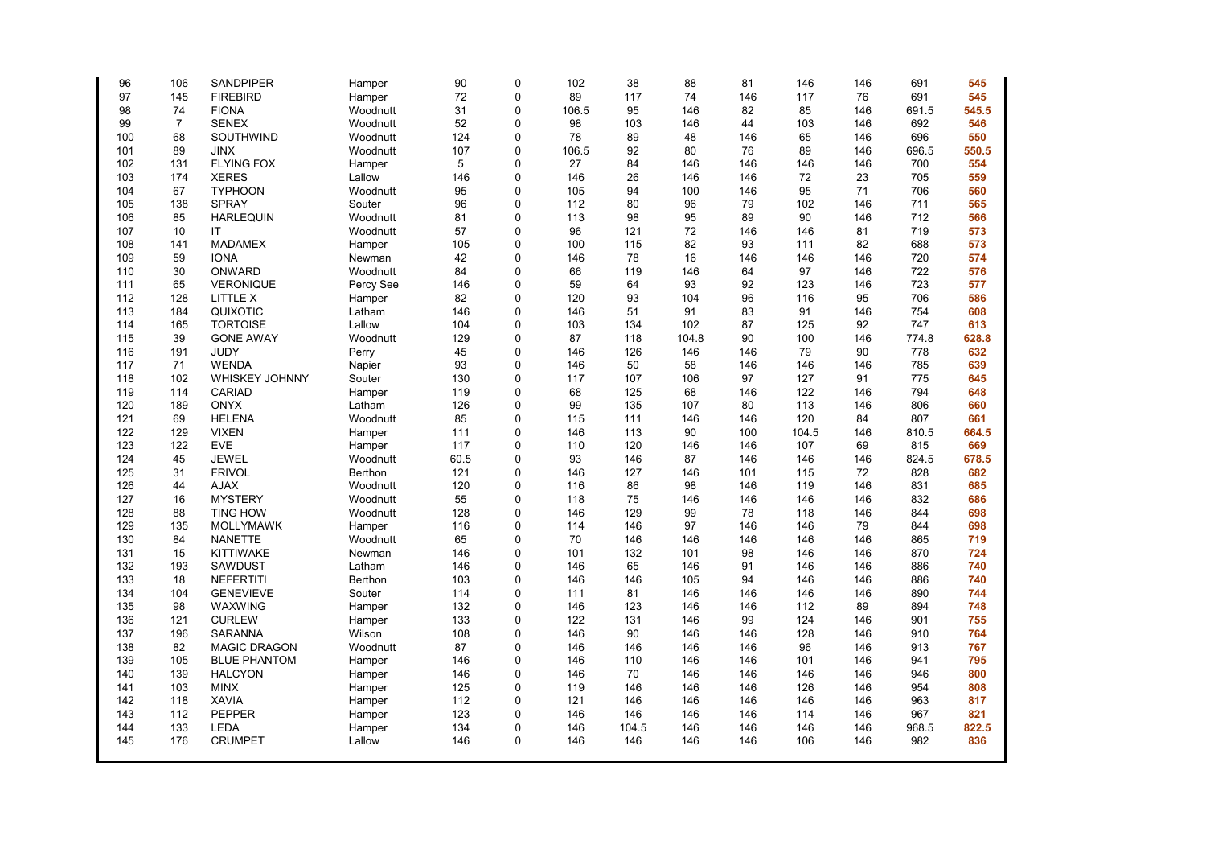| 96  | 106            | <b>SANDPIPER</b>    | Hamper    | 90   | $\Omega$ | 102   | 38    | 88    | 81  | 146   | 146 | 691   | 545   |
|-----|----------------|---------------------|-----------|------|----------|-------|-------|-------|-----|-------|-----|-------|-------|
| 97  | 145            | <b>FIREBIRD</b>     | Hamper    | 72   | $\Omega$ | 89    | 117   | 74    | 146 | 117   | 76  | 691   | 545   |
| 98  | 74             | <b>FIONA</b>        | Woodnutt  | 31   | $\Omega$ | 106.5 | 95    | 146   | 82  | 85    | 146 | 691.5 | 545.5 |
| 99  | $\overline{7}$ | <b>SENEX</b>        | Woodnutt  | 52   | $\Omega$ | 98    | 103   | 146   | 44  | 103   | 146 | 692   | 546   |
| 100 | 68             | SOUTHWIND           | Woodnutt  | 124  | 0        | 78    | 89    | 48    | 146 | 65    | 146 | 696   | 550   |
| 101 | 89             | <b>JINX</b>         | Woodnutt  | 107  | $\Omega$ | 106.5 | 92    | 80    | 76  | 89    | 146 | 696.5 | 550.5 |
| 102 | 131            | <b>FLYING FOX</b>   | Hamper    | 5    | 0        | 27    | 84    | 146   | 146 | 146   | 146 | 700   | 554   |
| 103 | 174            | <b>XERES</b>        | Lallow    | 146  | $\Omega$ | 146   | 26    | 146   | 146 | 72    | 23  | 705   | 559   |
| 104 | 67             | <b>TYPHOON</b>      | Woodnutt  | 95   | $\Omega$ | 105   | 94    | 100   | 146 | 95    | 71  | 706   | 560   |
| 105 | 138            | <b>SPRAY</b>        | Souter    | 96   | $\Omega$ | 112   | 80    | 96    | 79  | 102   | 146 | 711   | 565   |
| 106 | 85             | <b>HARLEQUIN</b>    | Woodnutt  | 81   | 0        | 113   | 98    | 95    | 89  | 90    | 146 | 712   | 566   |
| 107 | 10             | IT                  | Woodnutt  | 57   | 0        | 96    | 121   | 72    | 146 | 146   | 81  | 719   | 573   |
| 108 | 141            | <b>MADAMEX</b>      | Hamper    | 105  | 0        | 100   | 115   | 82    | 93  | 111   | 82  | 688   | 573   |
| 109 | 59             | <b>IONA</b>         | Newman    | 42   | 0        | 146   | 78    | 16    | 146 | 146   | 146 | 720   | 574   |
| 110 | 30             | ONWARD              | Woodnutt  | 84   | $\Omega$ | 66    | 119   | 146   | 64  | 97    | 146 | 722   | 576   |
| 111 | 65             | <b>VERONIQUE</b>    | Percy See | 146  | $\Omega$ | 59    | 64    | 93    | 92  | 123   | 146 | 723   | 577   |
| 112 | 128            | LITTLE X            | Hamper    | 82   | $\Omega$ | 120   | 93    | 104   | 96  | 116   | 95  | 706   | 586   |
| 113 | 184            | QUIXOTIC            | Latham    | 146  | $\Omega$ | 146   | 51    | 91    | 83  | 91    | 146 | 754   | 608   |
| 114 | 165            | <b>TORTOISE</b>     | Lallow    | 104  | 0        | 103   | 134   | 102   | 87  | 125   | 92  | 747   | 613   |
| 115 | 39             | <b>GONE AWAY</b>    | Woodnutt  | 129  | $\Omega$ | 87    | 118   | 104.8 | 90  | 100   | 146 | 774.8 | 628.8 |
| 116 | 191            | JUDY                | Perry     | 45   | 0        | 146   | 126   | 146   | 146 | 79    | 90  | 778   | 632   |
| 117 | 71             | <b>WENDA</b>        | Napier    | 93   | 0        | 146   | 50    | 58    | 146 | 146   | 146 | 785   | 639   |
| 118 | 102            | WHISKEY JOHNNY      | Souter    | 130  | 0        | 117   | 107   | 106   | 97  | 127   | 91  | 775   | 645   |
| 119 | 114            | <b>CARIAD</b>       | Hamper    | 119  | $\Omega$ | 68    | 125   | 68    | 146 | 122   | 146 | 794   | 648   |
| 120 | 189            | <b>ONYX</b>         | Latham    | 126  | 0        | 99    | 135   | 107   | 80  | 113   | 146 | 806   | 660   |
| 121 | 69             | <b>HELENA</b>       | Woodnutt  | 85   | $\Omega$ | 115   | 111   | 146   | 146 | 120   | 84  | 807   | 661   |
| 122 | 129            | <b>VIXEN</b>        | Hamper    | 111  | 0        | 146   | 113   | 90    | 100 | 104.5 | 146 | 810.5 | 664.5 |
| 123 | 122            | <b>EVE</b>          | Hamper    | 117  | 0        | 110   | 120   | 146   | 146 | 107   | 69  | 815   | 669   |
| 124 | 45             | <b>JEWEL</b>        | Woodnutt  | 60.5 | 0        | 93    | 146   | 87    | 146 | 146   | 146 | 824.5 | 678.5 |
| 125 | 31             | <b>FRIVOL</b>       | Berthon   | 121  | $\Omega$ | 146   | 127   | 146   | 101 | 115   | 72  | 828   | 682   |
| 126 | 44             | <b>AJAX</b>         | Woodnutt  | 120  | 0        | 116   | 86    | 98    | 146 | 119   | 146 | 831   | 685   |
| 127 | 16             | <b>MYSTERY</b>      | Woodnutt  | 55   | $\Omega$ | 118   | 75    | 146   | 146 | 146   | 146 | 832   | 686   |
| 128 | 88             | <b>TING HOW</b>     | Woodnutt  | 128  | 0        | 146   | 129   | 99    | 78  | 118   | 146 | 844   | 698   |
| 129 | 135            | <b>MOLLYMAWK</b>    | Hamper    | 116  | $\Omega$ | 114   | 146   | 97    | 146 | 146   | 79  | 844   | 698   |
| 130 | 84             | <b>NANETTE</b>      | Woodnutt  | 65   | 0        | 70    | 146   | 146   | 146 | 146   | 146 | 865   | 719   |
| 131 | 15             | <b>KITTIWAKE</b>    | Newman    | 146  | 0        | 101   | 132   | 101   | 98  | 146   | 146 | 870   | 724   |
| 132 | 193            | <b>SAWDUST</b>      | Latham    | 146  | $\Omega$ | 146   | 65    | 146   | 91  | 146   | 146 | 886   | 740   |
| 133 | 18             | <b>NEFERTITI</b>    | Berthon   | 103  | 0        | 146   | 146   | 105   | 94  | 146   | 146 | 886   | 740   |
| 134 | 104            | <b>GENEVIEVE</b>    | Souter    | 114  | $\Omega$ | 111   | 81    | 146   | 146 | 146   | 146 | 890   | 744   |
| 135 | 98             | WAXWING             | Hamper    | 132  | 0        | 146   | 123   | 146   | 146 | 112   | 89  | 894   | 748   |
| 136 | 121            | <b>CURLEW</b>       | Hamper    | 133  | $\Omega$ | 122   | 131   | 146   | 99  | 124   | 146 | 901   | 755   |
| 137 | 196            | <b>SARANNA</b>      | Wilson    | 108  | 0        | 146   | 90    | 146   | 146 | 128   | 146 | 910   | 764   |
| 138 | 82             | <b>MAGIC DRAGON</b> | Woodnutt  | 87   | $\Omega$ | 146   | 146   | 146   | 146 | 96    | 146 | 913   | 767   |
| 139 | 105            | <b>BLUE PHANTOM</b> | Hamper    | 146  | 0        | 146   | 110   | 146   | 146 | 101   | 146 | 941   | 795   |
| 140 | 139            | <b>HALCYON</b>      | Hamper    | 146  | $\Omega$ | 146   | 70    | 146   | 146 | 146   | 146 | 946   | 800   |
| 141 | 103            | <b>MINX</b>         | Hamper    | 125  | 0        | 119   | 146   | 146   | 146 | 126   | 146 | 954   | 808   |
| 142 | 118            | <b>XAVIA</b>        | Hamper    | 112  | $\Omega$ | 121   | 146   | 146   | 146 | 146   | 146 | 963   | 817   |
| 143 | 112            | <b>PEPPER</b>       | Hamper    | 123  | 0        | 146   | 146   | 146   | 146 | 114   | 146 | 967   | 821   |
| 144 | 133            | LEDA                | Hamper    | 134  | $\Omega$ | 146   | 104.5 | 146   | 146 | 146   | 146 | 968.5 | 822.5 |
| 145 | 176            | <b>CRUMPET</b>      | Lallow    | 146  | $\Omega$ | 146   | 146   | 146   | 146 | 106   | 146 | 982   | 836   |
|     |                |                     |           |      |          |       |       |       |     |       |     |       |       |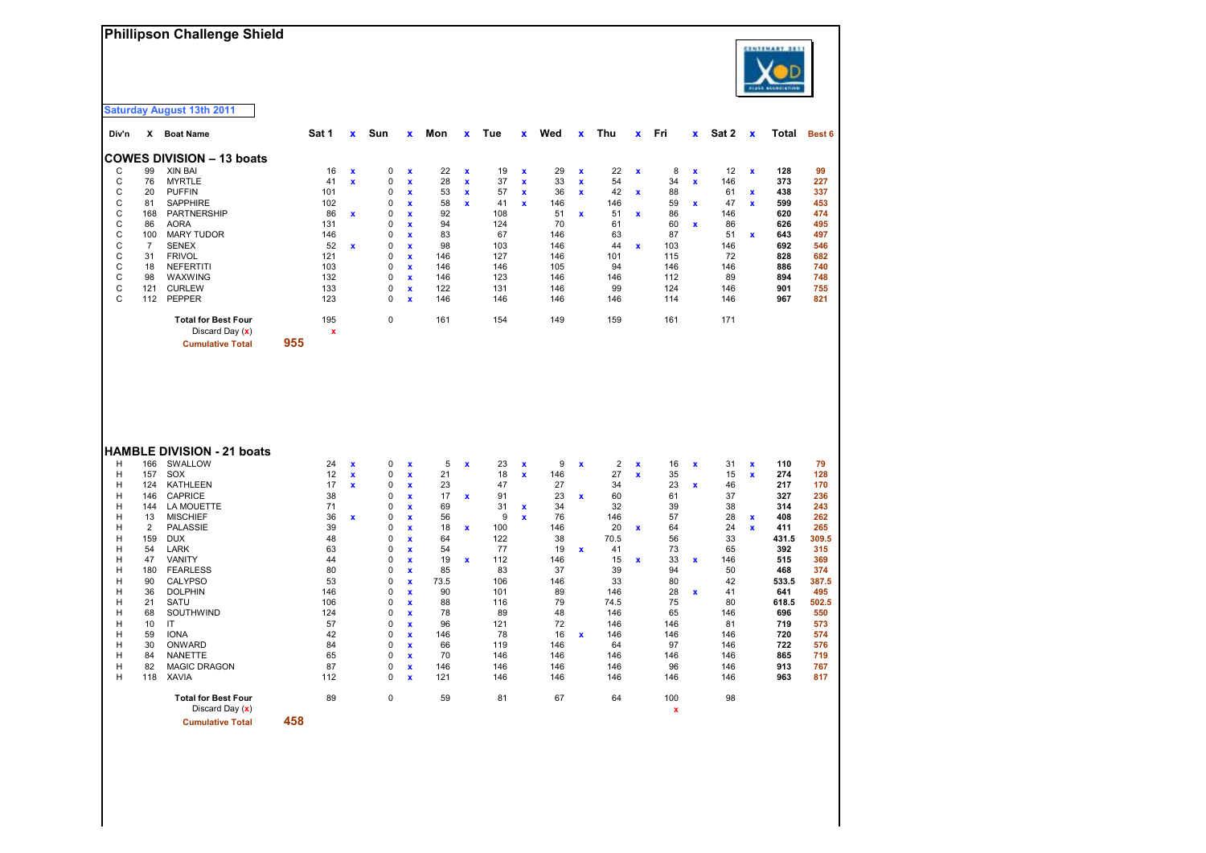| Phillipson Challenge Shield |  |
|-----------------------------|--|
|-----------------------------|--|



|              |                      | <b>Saturday August 13th 2011</b>                |            |                           |                  |                    |           |                    |            |                         |           |                    |                |                           |           |                    |            |                    |            |            |
|--------------|----------------------|-------------------------------------------------|------------|---------------------------|------------------|--------------------|-----------|--------------------|------------|-------------------------|-----------|--------------------|----------------|---------------------------|-----------|--------------------|------------|--------------------|------------|------------|
| Div'n        | x.                   | <b>Boat Name</b>                                | Sat 1      | x                         | Sun              | x                  | Mon       | $\mathbf{x}$       | Tue        | x                       | Wed       | $\pmb{\mathsf{x}}$ | Thu            | x                         | Fri       | x                  | Sat 2      | $\mathbf x$        | Total      | Best 6     |
|              |                      | <b>COWES DIVISION - 13 boats</b>                |            |                           |                  |                    |           |                    |            |                         |           |                    |                |                           |           |                    |            |                    |            |            |
| С            | 99                   | XIN BAI                                         | 16         | $\boldsymbol{\mathsf{x}}$ | 0                | x                  | 22        | $\pmb{\mathsf{x}}$ | 19         | X                       | 29        | x                  | 22             | $\boldsymbol{\mathsf{x}}$ | 8         | x                  | 12         | $\pmb{\mathsf{x}}$ | 128        | 99         |
| C            | 76                   | <b>MYRTLE</b>                                   | 41         | x                         | 0                | $\pmb{\mathsf{x}}$ | 28        | $\pmb{\mathsf{x}}$ | 37         | X                       | 33        | $\pmb{\mathsf{x}}$ | 54             |                           | 34        | $\pmb{\mathsf{x}}$ | 146        |                    | 373        | 227        |
| C            | 20                   | <b>PUFFIN</b>                                   | 101        |                           | 0                | x                  | 53        | $\pmb{\mathsf{x}}$ | 57         | $\mathbf x$             | 36        | $\pmb{\mathsf{x}}$ | 42             | $\mathbf x$               | 88        |                    | 61         | $\mathbf x$        | 438        | 337        |
| C            | 81                   | <b>SAPPHIRE</b>                                 | 102        |                           | 0                | x                  | 58        | $\mathbf{x}$       | 41         | $\overline{\mathbf{x}}$ | 146       |                    | 146            |                           | 59        | $\mathbf x$        | 47         | $\mathbf x$        | 599        | 453        |
| C<br>C       | 168<br>86            | PARTNERSHIP<br><b>AORA</b>                      | 86         | $\mathbf x$               | 0                | x                  | 92<br>94  |                    | 108<br>124 |                         | 51<br>70  | $\pmb{\mathsf{x}}$ | 51             | $\mathbf x$               | 86<br>60  |                    | 146        |                    | 620<br>626 | 474<br>495 |
| C            | 100                  | <b>MARY TUDOR</b>                               | 131<br>146 |                           | 0<br>0           | x<br>x             | 83        |                    | 67         |                         | 146       |                    | 61<br>63       |                           | 87        | x                  | 86<br>51   | $\pmb{\mathsf{x}}$ | 643        | 497        |
| C            | $\overline{7}$       | <b>SENEX</b>                                    | 52         | $\mathbf x$               | 0                | $\mathbf{x}$       | 98        |                    | 103        |                         | 146       |                    | 44             | $\mathbf x$               | 103       |                    | 146        |                    | 692        | 546        |
| C            | 31                   | <b>FRIVOL</b>                                   | 121        |                           | 0                | x                  | 146       |                    | 127        |                         | 146       |                    | 101            |                           | 115       |                    | 72         |                    | 828        | 682        |
| C            | 18                   | <b>NEFERTITI</b>                                | 103        |                           | 0                | $\mathbf{x}$       | 146       |                    | 146        |                         | 105       |                    | 94             |                           | 146       |                    | 146        |                    | 886        | 740        |
| $\mathbf C$  | 98                   | WAXWING                                         | 132        |                           | 0                | $\pmb{\mathsf{x}}$ | 146       |                    | 123        |                         | 146       |                    | 146            |                           | 112       |                    | 89         |                    | 894        | 748        |
| C            | 121                  | <b>CURLEW</b>                                   | 133        |                           | 0                | x                  | 122       |                    | 131        |                         | 146       |                    | 99             |                           | 124       |                    | 146        |                    | 901        | 755        |
| $\mathsf{C}$ | 112                  | <b>PEPPER</b>                                   | 123        |                           | $\mathbf 0$      | $\mathbf{x}$       | 146       |                    | 146        |                         | 146       |                    | 146            |                           | 114       |                    | 146        |                    | 967        | 821        |
|              |                      | <b>Total for Best Four</b><br>Discard Day $(x)$ | 195<br>X   |                           | 0                |                    | 161       |                    | 154        |                         | 149       |                    | 159            |                           | 161       |                    | 171        |                    |            |            |
|              |                      | <b>Cumulative Total</b>                         | 955        |                           |                  |                    |           |                    |            |                         |           |                    |                |                           |           |                    |            |                    |            |            |
|              |                      | <b>HAMBLE DIVISION - 21 boats</b>               |            |                           |                  |                    |           |                    |            |                         |           |                    |                |                           |           |                    |            |                    |            |            |
| н            | 166                  | SWALLOW                                         | 24         | $\mathbf{x}$              | 0                | x                  | 5         | $\mathbf x$        | 23         | X                       | 9         | $\pmb{\mathsf{x}}$ | $\overline{2}$ | $\pmb{\mathsf{x}}$        | 16        | X                  | 31         | $\pmb{\mathsf{x}}$ | 110        | 79         |
| н            | 157                  | SOX                                             | 12         | $\mathbf x$               | 0                | $\pmb{\mathsf{x}}$ | 21        |                    | 18         | $\mathbf x$             | 146       |                    | 27             | $\pmb{\mathsf{x}}$        | 35        |                    | 15         | $\pmb{\mathsf{x}}$ | 274        | 128        |
| Н            | 124                  | <b>KATHLEEN</b>                                 | 17         | x                         | 0                | x                  | 23        |                    | 47         |                         | 27        |                    | 34             |                           | 23        | x                  | 46         |                    | 217        | 170        |
| н            | 146                  | <b>CAPRICE</b>                                  | 38         |                           | 0                | x                  | 17        | $\pmb{\mathsf{x}}$ | 91         |                         | 23        | $\pmb{\mathsf{x}}$ | 60             |                           | 61        |                    | 37         |                    | 327        | 236        |
| н            | 144                  | LA MOUETTE                                      | 71         |                           | 0                | $\pmb{\mathsf{x}}$ | 69        |                    | 31         | X                       | 34        |                    | 32             |                           | 39        |                    | 38         |                    | 314        | 243        |
| н            | 13<br>$\overline{2}$ | <b>MISCHIEF</b>                                 | 36<br>39   | $\mathbf{x}$              | 0<br>$\mathbf 0$ | x                  | 56        |                    | 9          | $\overline{\mathbf{x}}$ | 76        |                    | 146            |                           | 57<br>64  |                    | 28         | $\pmb{\mathsf{x}}$ | 408<br>411 | 262<br>265 |
| H<br>Н       | 159                  | <b>PALASSIE</b><br><b>DUX</b>                   | 48         |                           | 0                | x<br>$\mathbf{x}$  | 18<br>64  | $\mathbf x$        | 100<br>122 |                         | 146<br>38 |                    | 20<br>70.5     | $\mathbf x$               | 56        |                    | 24<br>33   | $\pmb{\mathsf{x}}$ | 431.5      | 309.5      |
| н            | 54                   | <b>LARK</b>                                     | 63         |                           | 0                | x                  | 54        |                    | 77         |                         | 19        | $\pmb{\mathsf{x}}$ | 41             |                           | 73        |                    | 65         |                    | 392        | 315        |
| н            | 47                   | VANITY                                          | 44         |                           | 0                | x                  | 19        | $\mathbf x$        | 112        |                         | 146       |                    | 15             | $\mathbf x$               | 33        | $\mathbf x$        | 146        |                    | 515        | 369        |
| н            | 180                  | <b>FEARLESS</b>                                 | 80         |                           | 0                | $\pmb{\mathsf{x}}$ | 85        |                    | 83         |                         | 37        |                    | 39             |                           | 94        |                    | 50         |                    | 468        | 374        |
| н            | 90                   | <b>CALYPSO</b>                                  | 53         |                           | 0                | x                  | 73.5      |                    | 106        |                         | 146       |                    | 33             |                           | 80        |                    | 42         |                    | 533.5      | 387.5      |
| Н            | 36                   | <b>DOLPHIN</b>                                  | 146        |                           | 0                | $\mathbf{x}$       | 90        |                    | 101        |                         | 89        |                    | 146            |                           | 28        | $\mathbf{x}$       | 41         |                    | 641        | 495        |
| Н            | 21                   | SATU                                            | 106        |                           | 0                | $\pmb{\mathsf{x}}$ | 88        |                    | 116        |                         | 79        |                    | 74.5           |                           | 75        |                    | 80         |                    | 618.5      | 502.5      |
| H            | 68                   | SOUTHWIND                                       | 124        |                           | $\mathbf 0$      | $\mathbf{x}$       | 78        |                    | 89         |                         | 48        |                    | 146            |                           | 65        |                    | 146        |                    | 696        | 550        |
| н            | 10                   | IT                                              | 57         |                           | $\mathbf 0$      | x                  | 96        |                    | 121        |                         | 72        |                    | 146            |                           | 146       |                    | 81         |                    | 719        | 573        |
| н<br>н       | 59<br>30             | <b>IONA</b><br>ONWARD                           | 42<br>84   |                           | 0<br>0           | $\mathbf{x}$<br>x  | 146<br>66 |                    | 78<br>119  |                         | 16<br>146 | $\pmb{\mathsf{x}}$ | 146<br>64      |                           | 146<br>97 |                    | 146<br>146 |                    | 720<br>722 | 574<br>576 |
| н            | 84                   | NANETTE                                         | 65         |                           | 0                | x                  | 70        |                    | 146        |                         | 146       |                    | 146            |                           | 146       |                    | 146        |                    | 865        | 719        |
| н            | 82                   | <b>MAGIC DRAGON</b>                             | 87         |                           | 0                | x                  | 146       |                    | 146        |                         | 146       |                    | 146            |                           | 96        |                    | 146        |                    | 913        | 767        |
| н            | 118                  | <b>XAVIA</b>                                    | 112        |                           | $\mathbf 0$      | $\mathbf{x}$       | 121       |                    | 146        |                         | 146       |                    | 146            |                           | 146       |                    | 146        |                    | 963        | 817        |
|              |                      | <b>Total for Best Four</b>                      | 89         |                           | $\pmb{0}$        |                    | 59        |                    | 81         |                         | 67        |                    | 64             |                           | 100       |                    | 98         |                    |            |            |
|              |                      | Discard Dav $(x)$                               |            |                           |                  |                    |           |                    |            |                         |           |                    |                |                           | x         |                    |            |                    |            |            |

wiscard Day (**x**)<br>**x** and a said band a said band a 458 **x Cumulative Total 458**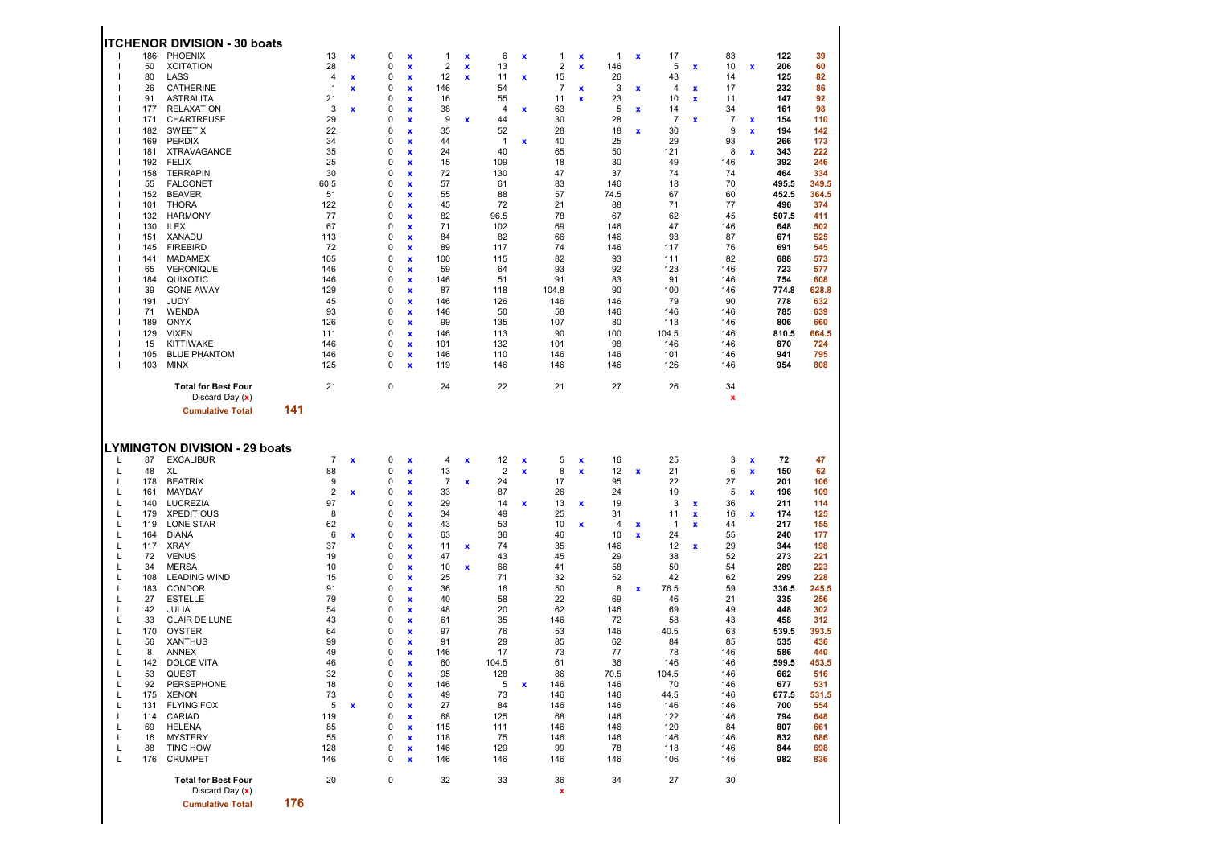|                                                                                                                                     |                                                                                                                                                                                                       | <b>ITCHENOR DIVISION - 30 boats</b>                                                                                                                                                                                                                                                                                                                                                                                                                                                                                   |     |                                                                                                                                                                                                  |                                                                 |                                                                                                                                                         |                                                                                                                                                                                                                                                            |                                                                                                                                                                                                                        |                                   |                                                                                                                                                                                                              |                                                                     |                                                                                                                                                                                                                       |                                                    |                                                                                                                                                                                                 |                  |                                                                                                                                                                                                               |                                                              |                                                                                                                                                                                                             |                                                    |                                                                                                                                                                                                                          |                                                                                                                                                                                                                  |
|-------------------------------------------------------------------------------------------------------------------------------------|-------------------------------------------------------------------------------------------------------------------------------------------------------------------------------------------------------|-----------------------------------------------------------------------------------------------------------------------------------------------------------------------------------------------------------------------------------------------------------------------------------------------------------------------------------------------------------------------------------------------------------------------------------------------------------------------------------------------------------------------|-----|--------------------------------------------------------------------------------------------------------------------------------------------------------------------------------------------------|-----------------------------------------------------------------|---------------------------------------------------------------------------------------------------------------------------------------------------------|------------------------------------------------------------------------------------------------------------------------------------------------------------------------------------------------------------------------------------------------------------|------------------------------------------------------------------------------------------------------------------------------------------------------------------------------------------------------------------------|-----------------------------------|--------------------------------------------------------------------------------------------------------------------------------------------------------------------------------------------------------------|---------------------------------------------------------------------|-----------------------------------------------------------------------------------------------------------------------------------------------------------------------------------------------------------------------|----------------------------------------------------|-------------------------------------------------------------------------------------------------------------------------------------------------------------------------------------------------|------------------|---------------------------------------------------------------------------------------------------------------------------------------------------------------------------------------------------------------|--------------------------------------------------------------|-------------------------------------------------------------------------------------------------------------------------------------------------------------------------------------------------------------|----------------------------------------------------|--------------------------------------------------------------------------------------------------------------------------------------------------------------------------------------------------------------------------|------------------------------------------------------------------------------------------------------------------------------------------------------------------------------------------------------------------|
|                                                                                                                                     | 186<br>50<br>80<br>26<br>91<br>177<br>171<br>182<br>169<br>181<br>192<br>158<br>55<br>152<br>101<br>132<br>130<br>151<br>145<br>141<br>65<br>184<br>39<br>191<br>71<br>189<br>129<br>15<br>105<br>103 | PHOENIX<br><b>XCITATION</b><br>LASS<br><b>CATHERINE</b><br>ASTRALITA<br><b>RELAXATION</b><br>CHARTREUSE<br>SWEET X<br><b>PERDIX</b><br><b>XTRAVAGANCE</b><br><b>FELIX</b><br><b>TERRAPIN</b><br><b>FALCONET</b><br><b>BEAVER</b><br>THORA<br><b>HARMONY</b><br><b>ILEX</b><br>XANADU<br><b>FIREBIRD</b><br><b>MADAMEX</b><br><b>VERONIQUE</b><br>QUIXOTIC<br><b>GONE AWAY</b><br>JUDY<br><b>WENDA</b><br><b>ONYX</b><br><b>VIXEN</b><br>KITTIWAKE<br><b>BLUE PHANTOM</b><br><b>MINX</b><br><b>Total for Best Four</b> |     | 13<br>28<br>4<br>1<br>21<br>3<br>29<br>22<br>34<br>35<br>25<br>30<br>60.5<br>51<br>122<br>77<br>67<br>113<br>72<br>105<br>146<br>146<br>129<br>45<br>93<br>126<br>111<br>146<br>146<br>125<br>21 | $\pmb{\mathsf{x}}$<br>$\mathbf x$<br>x<br>$\mathbf x$           | 0<br>0<br>0<br>0<br>0<br>0<br>0<br>0<br>0<br>0<br>0<br>0<br>0<br>0<br>0<br>0<br>0<br>0<br>0<br>0<br>0<br>0<br>0<br>0<br>0<br>0<br>0<br>0<br>0<br>0<br>0 | $\boldsymbol{\mathsf{x}}$<br>x<br>x<br>x<br>$\mathbf x$<br>x<br>x<br>x<br>x<br>X<br>X<br>X<br>X<br>X<br>X<br>X<br>x<br>x<br>X<br>x<br>X<br>X<br>x<br>X<br>x<br>$\mathbf x$<br>x<br>X<br>x<br>x                                                             | $\mathbf{1}$<br>$\boldsymbol{2}$<br>12<br>146<br>16<br>38<br>9<br>35<br>44<br>24<br>15<br>72<br>57<br>55<br>45<br>82<br>71<br>84<br>89<br>100<br>59<br>146<br>87<br>146<br>146<br>99<br>146<br>101<br>146<br>119<br>24 | x<br>x<br>$\pmb{\mathsf{x}}$<br>x | 6<br>13<br>11<br>54<br>55<br>4<br>44<br>52<br>$\mathbf{1}$<br>40<br>109<br>130<br>61<br>88<br>72<br>96.5<br>102<br>82<br>117<br>115<br>64<br>51<br>118<br>126<br>50<br>135<br>113<br>132<br>110<br>146<br>22 | x<br>$\pmb{\mathsf{x}}$<br>x<br>x                                   | 1<br>$\overline{2}$<br>15<br>$\overline{7}$<br>11<br>63<br>30<br>28<br>40<br>65<br>18<br>47<br>83<br>57<br>21<br>78<br>69<br>66<br>74<br>82<br>93<br>91<br>104.8<br>146<br>58<br>107<br>90<br>101<br>146<br>146<br>21 | x<br>$\mathbf x$<br>x<br>X                         | 1<br>146<br>26<br>3<br>23<br>5<br>28<br>18<br>25<br>50<br>30<br>37<br>146<br>74.5<br>88<br>67<br>146<br>146<br>146<br>93<br>92<br>83<br>90<br>146<br>146<br>80<br>100<br>98<br>146<br>146<br>27 | x<br>x<br>x<br>x | 17<br>5<br>43<br>4<br>10<br>14<br>$\overline{7}$<br>30<br>29<br>121<br>49<br>74<br>18<br>67<br>71<br>62<br>47<br>93<br>117<br>111<br>123<br>91<br>100<br>79<br>146<br>113<br>104.5<br>146<br>101<br>126<br>26 | X<br>x<br>x<br>$\pmb{\mathsf{x}}$                            | 83<br>10<br>14<br>17<br>11<br>34<br>$\overline{7}$<br>9<br>93<br>8<br>146<br>74<br>70<br>60<br>77<br>45<br>146<br>87<br>76<br>82<br>146<br>146<br>146<br>90<br>146<br>146<br>146<br>146<br>146<br>146<br>34 | x<br>$\pmb{\mathsf{x}}$<br>$\pmb{\mathsf{x}}$<br>x | 122<br>206<br>125<br>232<br>147<br>161<br>154<br>194<br>266<br>343<br>392<br>464<br>495.5<br>452.5<br>496<br>507.5<br>648<br>671<br>691<br>688<br>723<br>754<br>774.8<br>778<br>785<br>806<br>810.5<br>870<br>941<br>954 | 39<br>60<br>82<br>86<br>92<br>98<br>110<br>142<br>173<br>222<br>246<br>334<br>349.5<br>364.5<br>374<br>411<br>502<br>525<br>545<br>573<br>577<br>608<br>628.8<br>632<br>639<br>660<br>664.5<br>724<br>795<br>808 |
|                                                                                                                                     |                                                                                                                                                                                                       | Discard Day $(x)$<br><b>Cumulative Total</b>                                                                                                                                                                                                                                                                                                                                                                                                                                                                          | 141 |                                                                                                                                                                                                  |                                                                 |                                                                                                                                                         |                                                                                                                                                                                                                                                            |                                                                                                                                                                                                                        |                                   |                                                                                                                                                                                                              |                                                                     |                                                                                                                                                                                                                       |                                                    |                                                                                                                                                                                                 |                  |                                                                                                                                                                                                               |                                                              | x                                                                                                                                                                                                           |                                                    |                                                                                                                                                                                                                          |                                                                                                                                                                                                                  |
|                                                                                                                                     |                                                                                                                                                                                                       | <b>LYMINGTON DIVISION - 29 boats</b>                                                                                                                                                                                                                                                                                                                                                                                                                                                                                  |     |                                                                                                                                                                                                  |                                                                 |                                                                                                                                                         |                                                                                                                                                                                                                                                            |                                                                                                                                                                                                                        |                                   |                                                                                                                                                                                                              |                                                                     |                                                                                                                                                                                                                       |                                                    |                                                                                                                                                                                                 |                  |                                                                                                                                                                                                               |                                                              |                                                                                                                                                                                                             |                                                    |                                                                                                                                                                                                                          |                                                                                                                                                                                                                  |
| L<br>L<br>L<br>L<br>L<br>L<br>L<br>L<br>L<br>L<br>L<br>L<br>L<br>L<br>L<br>L<br>L<br>L<br>L<br>L<br>Г<br>L<br>L<br>L<br>L<br>L<br>L | 87<br>48<br>178<br>161<br>140<br>179<br>119<br>164<br>117<br>72<br>34<br>108<br>183<br>27<br>42<br>33<br>170<br>56<br>8<br>142<br>53<br>92<br>175<br>131<br>114<br>69<br>16<br>88<br>176              | <b>EXCALIBUR</b><br>XL<br><b>BEATRIX</b><br>MAYDAY<br>LUCREZIA<br><b>XPEDITIOUS</b><br>LONE STAR<br><b>DIANA</b><br>XRAY<br><b>VENUS</b><br><b>MERSA</b><br><b>LEADING WIND</b><br>CONDOR<br><b>ESTELLE</b><br>JULIA<br>CLAIR DE LUNE<br>OYSTER<br><b>XANTHUS</b><br><b>ANNEX</b><br><b>DOLCE VITA</b><br>QUEST<br>PERSEPHONE<br><b>XENON</b><br><b>FLYING FOX</b><br>CARIAD<br><b>HELENA</b><br><b>MYSTERY</b><br><b>TING HOW</b><br><b>CRUMPET</b>                                                                  |     | $\overline{7}$<br>88<br>9<br>2<br>97<br>8<br>62<br>6<br>37<br>19<br>10<br>15<br>91<br>79<br>54<br>43<br>64<br>99<br>49<br>46<br>32<br>18<br>73<br>5<br>119<br>85<br>55<br>128<br>146             | $\mathbf x$<br>$\pmb{\mathsf{x}}$<br>$\mathbf x$<br>$\mathbf x$ | 0<br>0<br>0<br>0<br>0<br>0<br>0<br>0<br>0<br>0<br>0<br>0<br>0<br>0<br>0<br>0<br>0<br>0<br>0<br>0<br>$\Omega$<br>0<br>0<br>0<br>0<br>0<br>0<br>0<br>0    | $\mathbf x$<br>$\mathbf x$<br>x<br>x<br>x<br>x<br>x<br>X<br>x<br>x<br>x<br>x<br>X<br>X<br>X<br>X<br>X<br>X<br>X<br>x<br>X<br>$\boldsymbol{\mathsf{x}}$<br>$\mathbf{x}$<br>X<br>$\mathbf{x}$<br>$\mathbf{x}$<br>$\mathbf{x}$<br>$\mathbf x$<br>$\mathbf{x}$ | 4<br>13<br>$\overline{7}$<br>33<br>29<br>34<br>43<br>63<br>11<br>47<br>10<br>25<br>36<br>40<br>48<br>61<br>97<br>91<br>146<br>60<br>95<br>146<br>49<br>27<br>68<br>115<br>118<br>146<br>146                            | x<br>$\pmb{\mathsf{x}}$<br>x<br>x | 12<br>$\overline{2}$<br>24<br>87<br>14<br>49<br>53<br>36<br>74<br>43<br>66<br>71<br>16<br>58<br>20<br>35<br>76<br>29<br>17<br>104.5<br>128<br>5<br>73<br>84<br>125<br>111<br>75<br>129<br>146                | x<br>$\pmb{\mathsf{x}}$<br>$\pmb{\mathsf{x}}$<br>$\pmb{\mathsf{x}}$ | 5<br>8<br>17<br>26<br>13<br>25<br>10<br>46<br>35<br>45<br>41<br>32<br>50<br>22<br>62<br>146<br>53<br>85<br>73<br>61<br>86<br>146<br>146<br>146<br>68<br>146<br>146<br>99<br>146                                       | x<br>$\pmb{\mathsf{x}}$<br>$\pmb{\mathsf{x}}$<br>x | 16<br>12<br>95<br>24<br>19<br>31<br>4<br>10<br>146<br>29<br>58<br>52<br>8<br>69<br>146<br>72<br>146<br>62<br>77<br>36<br>70.5<br>146<br>146<br>146<br>146<br>146<br>146<br>78<br>146            | x<br>x<br>x<br>x | 25<br>21<br>22<br>19<br>3<br>11<br>$\mathbf{1}$<br>24<br>12<br>38<br>50<br>42<br>76.5<br>46<br>69<br>58<br>40.5<br>84<br>78<br>146<br>104.5<br>70<br>44.5<br>146<br>122<br>120<br>146<br>118<br>106           | $\mathbf x$<br>$\pmb{\mathsf{x}}$<br>$\pmb{\mathsf{x}}$<br>x | 3<br>6<br>27<br>5<br>36<br>16<br>44<br>55<br>29<br>52<br>54<br>62<br>59<br>21<br>49<br>43<br>63<br>85<br>146<br>146<br>146<br>146<br>146<br>146<br>146<br>84<br>146<br>146<br>146                           | x<br>$\pmb{\mathsf{x}}$<br>x<br>x                  | 72<br>150<br>201<br>196<br>211<br>174<br>217<br>240<br>344<br>273<br>289<br>299<br>336.5<br>335<br>448<br>458<br>539.5<br>535<br>586<br>599.5<br>662<br>677<br>677.5<br>700<br>794<br>807<br>832<br>844<br>982           | 47<br>62<br>106<br>109<br>114<br>125<br>155<br>177<br>198<br>221<br>223<br>228<br>245.5<br>256<br>302<br>312<br>393.5<br>436<br>440<br>453.5<br>516<br>531<br>531.5<br>554<br>648<br>661<br>686<br>698<br>836    |
|                                                                                                                                     |                                                                                                                                                                                                       | <b>Total for Best Four</b><br>Discard Day $(x)$                                                                                                                                                                                                                                                                                                                                                                                                                                                                       |     | 20                                                                                                                                                                                               |                                                                 | $\pmb{0}$                                                                                                                                               |                                                                                                                                                                                                                                                            | 32                                                                                                                                                                                                                     |                                   | 33                                                                                                                                                                                                           |                                                                     | 36<br>x                                                                                                                                                                                                               |                                                    | 34                                                                                                                                                                                              |                  | 27                                                                                                                                                                                                            |                                                              | 30                                                                                                                                                                                                          |                                                    |                                                                                                                                                                                                                          |                                                                                                                                                                                                                  |
|                                                                                                                                     |                                                                                                                                                                                                       | <b>Cumulative Total</b>                                                                                                                                                                                                                                                                                                                                                                                                                                                                                               | 176 |                                                                                                                                                                                                  |                                                                 |                                                                                                                                                         |                                                                                                                                                                                                                                                            |                                                                                                                                                                                                                        |                                   |                                                                                                                                                                                                              |                                                                     |                                                                                                                                                                                                                       |                                                    |                                                                                                                                                                                                 |                  |                                                                                                                                                                                                               |                                                              |                                                                                                                                                                                                             |                                                    |                                                                                                                                                                                                                          |                                                                                                                                                                                                                  |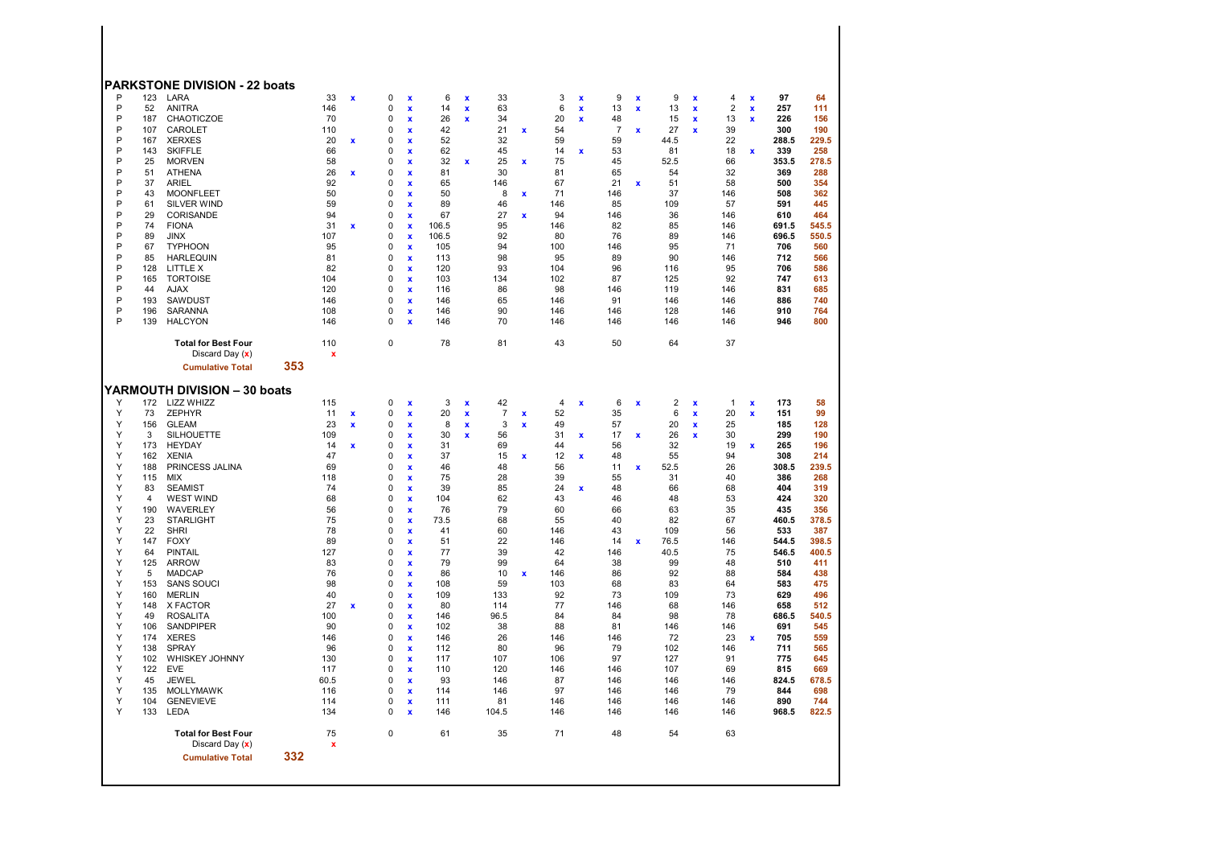| 33<br>$\mathbf 0$<br>33<br>$\ensuremath{\mathsf{3}}$<br>6<br>$\overline{\mathbf{x}}$<br>$\mathbf{x}$<br>$\pmb{\mathsf{x}}$<br>$\pmb{\mathsf{x}}$<br>6<br>146<br>$\mathbf 0$<br>14<br>63<br>$\pmb{\mathsf{x}}$<br>$\pmb{\mathsf{x}}$<br>x<br>70<br>0<br>20<br>26<br>34<br>x<br>$\pmb{\mathsf{x}}$<br>x<br>110<br>0<br>42<br>21<br>54<br>x<br>x<br>20<br>0<br>52<br>32<br>59<br>$\overline{\mathbf{x}}$<br>$\mathbf x$<br>66<br>0<br>62<br>45<br>14<br>x<br>$\mathbf x$<br>58<br>0<br>32<br>25<br>$\mathbf x$<br>75<br>x<br>$\pmb{\mathsf{x}}$<br>26<br>30<br>81<br>$\mathbf 0$<br>81<br>X<br>x<br>92<br>0<br>65<br>146<br>67<br>x<br>50<br>$\mathbf 0$<br>50<br>8<br>71<br>x<br>x<br>59<br>0<br>89<br>46<br>146<br>$\mathbf x$<br>67<br>27<br>94<br>0<br>94<br>$\mathbf x$<br>x<br>31<br>95<br>0<br>$\mathbf x$<br>106.5<br>146<br>$\mathbf x$<br>0<br>106.5<br>92<br>107<br>80<br>x<br>95<br>0<br>105<br>94<br>100<br>$\mathbf{x}$<br>81<br>$\mathsf 0$<br>98<br>95<br>113<br>x<br>82<br>0<br>120<br>93<br>$\pmb{\mathsf{x}}$<br>104<br>0<br>102<br>104<br>103<br>134<br>$\pmb{\mathsf{x}}$<br>120<br>0<br>116<br>86<br>98<br>$\pmb{\mathsf{x}}$<br>146<br>0<br>$\mathbf x$<br>146<br>65<br>146<br>108<br>0<br>146<br>90<br>146<br>x<br>70<br>0<br>146<br>$\mathbf{x}$<br>146<br>146<br>$\mathsf 0$<br>110<br>78<br>81<br>43<br>x<br>115<br>0<br>3<br>42<br>$\overline{4}$<br>$\pmb{\mathsf{x}}$<br>$\pmb{\mathsf{x}}$<br>$\pmb{\mathsf{x}}$<br>$\overline{7}$<br>20<br>52<br>11<br>$\mathbf x$<br>0<br>$\mathbf x$<br>$\pmb{\mathsf{x}}$<br>$\mathbf x$<br>23<br>0<br>3<br>49<br>$\mathbf x$<br>8<br>$\mathbf x$<br>x<br>$\pmb{\mathsf{x}}$<br>109<br>0<br>30<br>56<br>31<br>x<br>$\mathbf{x}$<br>$\pmb{\mathsf{x}}$<br>$\mathsf 0$<br>31<br>69<br>44<br>14<br>x<br>x<br>47<br>0<br>37<br>15<br>12<br>$\mathbf x$<br>$\pmb{\mathsf{x}}$<br>$\mathbf{x}$<br>69<br>0<br>56<br>46<br>48<br>x<br>118<br>0<br>75<br>28<br>39<br>$\mathbf{x}$<br>0<br>39<br>85<br>24<br>74<br>x<br>x<br>68<br>104<br>62<br>43<br>0<br>X<br>79<br>60<br>56<br>0<br>76<br>$\pmb{\mathsf{x}}$<br>75<br>$\mathbf 0$<br>73.5<br>68<br>55<br>$\mathbf x$<br>78<br>0<br>60<br>$\mathbf x$<br>41<br>146<br>22<br>89<br>0<br>51<br>146<br>X<br>127<br>0<br>77<br>39<br>42<br>$\mathbf x$<br>83<br>0<br>79<br>99<br>64<br>x<br>76<br>0<br>86<br>10<br>$\mathbf x$<br>146<br>x<br>98<br>59<br>103<br>0<br>108<br>x<br>40<br>0<br>109<br>133<br>92<br>$\mathbf x$<br>27<br>77<br>0<br>80<br>114<br>$\mathbf x$<br>x |
|------------------------------------------------------------------------------------------------------------------------------------------------------------------------------------------------------------------------------------------------------------------------------------------------------------------------------------------------------------------------------------------------------------------------------------------------------------------------------------------------------------------------------------------------------------------------------------------------------------------------------------------------------------------------------------------------------------------------------------------------------------------------------------------------------------------------------------------------------------------------------------------------------------------------------------------------------------------------------------------------------------------------------------------------------------------------------------------------------------------------------------------------------------------------------------------------------------------------------------------------------------------------------------------------------------------------------------------------------------------------------------------------------------------------------------------------------------------------------------------------------------------------------------------------------------------------------------------------------------------------------------------------------------------------------------------------------------------------------------------------------------------------------------------------------------------------------------------------------------------------------------------------------------------------------------------------------------------------------------------------------------------------------------------------------------------------------------------------------------------------------------------------------------------------------------------------------------------------------------------------------------------------------------------------------------------------------------------------------------------------------------------------------------------------------------------------------------------------------------|
| 100<br>0<br>146<br>96.5<br>$\mathbf{x}$<br>$\mathbf 0$<br>102<br>90<br>38<br>$\mathbf x$<br>0<br>26<br>146<br>$\mathbf x$<br>146<br>96<br>0<br>112<br>80<br>x<br>130<br>0<br>117<br>107<br>X<br>0<br>117<br>$\mathbf{x}$<br>110<br>120                                                                                                                                                                                                                                                                                                                                                                                                                                                                                                                                                                                                                                                                                                                                                                                                                                                                                                                                                                                                                                                                                                                                                                                                                                                                                                                                                                                                                                                                                                                                                                                                                                                                                                                                                                                                                                                                                                                                                                                                                                                                                                                                                                                                                                             |
| 146<br>84<br>88<br>146<br>146<br>96<br>106<br>146<br>146<br>60.5<br>0<br>93<br>146<br>87<br>146<br>x<br>97<br>0<br>146<br>116<br>$\pmb{\mathsf{x}}$<br>114<br>146<br>114<br>$\mathbf{0}$<br>111<br>81<br>146<br>146<br>$\pmb{\mathsf{x}}$<br>$\mathsf 0$<br>134<br>$\mathbf{x}$<br>146<br>104.5<br>146<br>146<br>75<br>0<br>61<br>35<br>71<br>X                                                                                                                                                                                                                                                                                                                                                                                                                                                                                                                                                                                                                                                                                                                                                                                                                                                                                                                                                                                                                                                                                                                                                                                                                                                                                                                                                                                                                                                                                                                                                                                                                                                                                                                                                                                                                                                                                                                                                                                                                                                                                                                                    |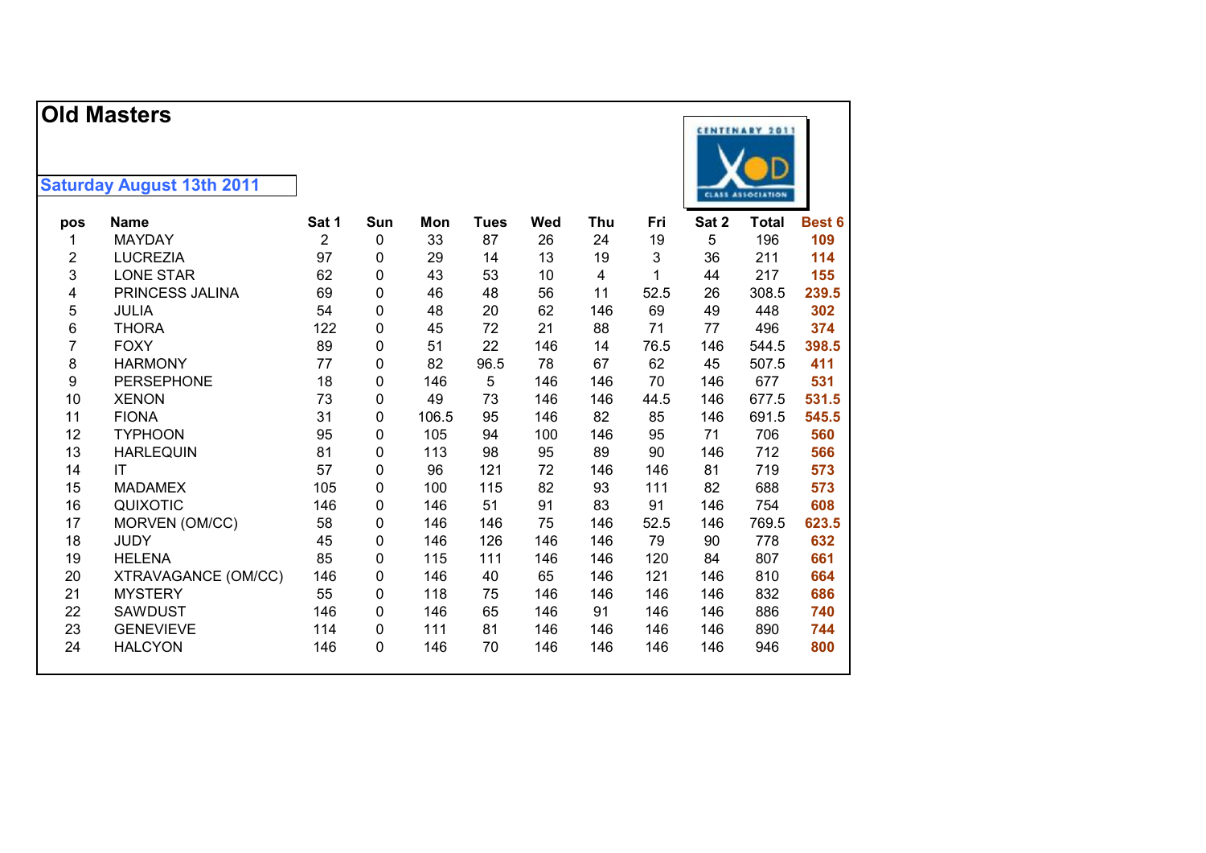|     | <b>Old Masters</b>               |                |             |       |             |     |            |      |       | <b>CENTENARY 2011</b>    |        |
|-----|----------------------------------|----------------|-------------|-------|-------------|-----|------------|------|-------|--------------------------|--------|
|     | <b>Saturday August 13th 2011</b> |                |             |       |             |     |            |      |       | <b>CLASS ASSOCIATION</b> |        |
| pos | <b>Name</b>                      | Sat 1          | Sun         | Mon   | <b>Tues</b> | Wed | <b>Thu</b> | Fri  | Sat 2 | <b>Total</b>             | Best 6 |
| 1   | <b>MAYDAY</b>                    | $\overline{2}$ | 0           | 33    | 87          | 26  | 24         | 19   | 5     | 196                      | 109    |
| 2   | <b>LUCREZIA</b>                  | 97             | 0           | 29    | 14          | 13  | 19         | 3    | 36    | 211                      | 114    |
| 3   | <b>LONE STAR</b>                 | 62             | 0           | 43    | 53          | 10  | 4          | 1    | 44    | 217                      | 155    |
| 4   | PRINCESS JALINA                  | 69             | 0           | 46    | 48          | 56  | 11         | 52.5 | 26    | 308.5                    | 239.5  |
| 5   | <b>JULIA</b>                     | 54             | 0           | 48    | 20          | 62  | 146        | 69   | 49    | 448                      | 302    |
| 6   | <b>THORA</b>                     | 122            | 0           | 45    | 72          | 21  | 88         | 71   | 77    | 496                      | 374    |
| 7   | <b>FOXY</b>                      | 89             | 0           | 51    | 22          | 146 | 14         | 76.5 | 146   | 544.5                    | 398.5  |
| 8   | <b>HARMONY</b>                   | 77             | 0           | 82    | 96.5        | 78  | 67         | 62   | 45    | 507.5                    | 411    |
| 9   | <b>PERSEPHONE</b>                | 18             | 0           | 146   | 5           | 146 | 146        | 70   | 146   | 677                      | 531    |
| 10  | <b>XENON</b>                     | 73             | $\mathbf 0$ | 49    | 73          | 146 | 146        | 44.5 | 146   | 677.5                    | 531.5  |
| 11  | <b>FIONA</b>                     | 31             | $\mathbf 0$ | 106.5 | 95          | 146 | 82         | 85   | 146   | 691.5                    | 545.5  |
| 12  | <b>TYPHOON</b>                   | 95             | 0           | 105   | 94          | 100 | 146        | 95   | 71    | 706                      | 560    |
| 13  | <b>HARLEQUIN</b>                 | 81             | 0           | 113   | 98          | 95  | 89         | 90   | 146   | 712                      | 566    |
| 14  | IT                               | 57             | 0           | 96    | 121         | 72  | 146        | 146  | 81    | 719                      | 573    |
| 15  | <b>MADAMEX</b>                   | 105            | 0           | 100   | 115         | 82  | 93         | 111  | 82    | 688                      | 573    |
| 16  | QUIXOTIC                         | 146            | $\mathbf 0$ | 146   | 51          | 91  | 83         | 91   | 146   | 754                      | 608    |
| 17  | MORVEN (OM/CC)                   | 58             | 0           | 146   | 146         | 75  | 146        | 52.5 | 146   | 769.5                    | 623.5  |
| 18  | <b>JUDY</b>                      | 45             | 0           | 146   | 126         | 146 | 146        | 79   | 90    | 778                      | 632    |
| 19  | <b>HELENA</b>                    | 85             | 0           | 115   | 111         | 146 | 146        | 120  | 84    | 807                      | 661    |
| 20  | XTRAVAGANCE (OM/CC)              | 146            | 0           | 146   | 40          | 65  | 146        | 121  | 146   | 810                      | 664    |
| 21  | <b>MYSTERY</b>                   | 55             | 0           | 118   | 75          | 146 | 146        | 146  | 146   | 832                      | 686    |
| 22  | <b>SAWDUST</b>                   | 146            | $\Omega$    | 146   | 65          | 146 | 91         | 146  | 146   | 886                      | 740    |
| 23  | <b>GENEVIEVE</b>                 | 114            | 0           | 111   | 81          | 146 | 146        | 146  | 146   | 890                      | 744    |
| 24  | <b>HALCYON</b>                   | 146            | 0           | 146   | 70          | 146 | 146        | 146  | 146   | 946                      | 800    |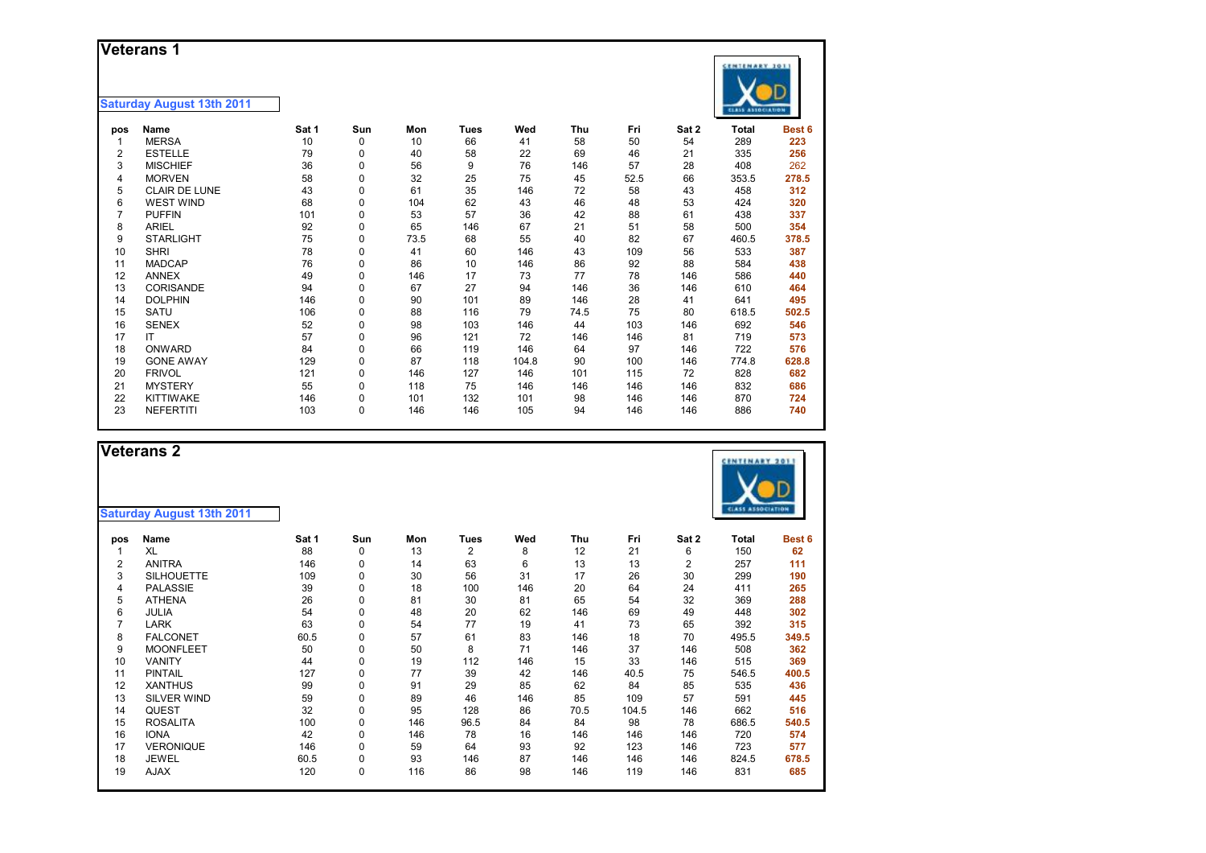### **Veterans 1**

|     | ו טושוטי                         |       |     |      |             |       |      |      |       | <b>CENTENARY 3011</b>    |        |
|-----|----------------------------------|-------|-----|------|-------------|-------|------|------|-------|--------------------------|--------|
|     | <b>Saturday August 13th 2011</b> |       |     |      |             |       |      |      |       | <b>CLASS ASSOCIATION</b> |        |
| pos | Name                             | Sat 1 | Sun | Mon  | <b>Tues</b> | Wed   | Thu  | Fri  | Sat 2 | <b>Total</b>             | Best 6 |
|     | <b>MERSA</b>                     | 10    | 0   | 10   | 66          | 41    | 58   | 50   | 54    | 289                      | 223    |
| 2   | <b>ESTELLE</b>                   | 79    | 0   | 40   | 58          | 22    | 69   | 46   | 21    | 335                      | 256    |
| 3   | <b>MISCHIEF</b>                  | 36    | 0   | 56   | 9           | 76    | 146  | 57   | 28    | 408                      | 262    |
| 4   | <b>MORVEN</b>                    | 58    | 0   | 32   | 25          | 75    | 45   | 52.5 | 66    | 353.5                    | 278.5  |
| 5   | <b>CLAIR DE LUNE</b>             | 43    | 0   | 61   | 35          | 146   | 72   | 58   | 43    | 458                      | 312    |
| 6   | <b>WEST WIND</b>                 | 68    | 0   | 104  | 62          | 43    | 46   | 48   | 53    | 424                      | 320    |
|     | <b>PUFFIN</b>                    | 101   | 0   | 53   | 57          | 36    | 42   | 88   | 61    | 438                      | 337    |
| 8   | <b>ARIEL</b>                     | 92    | 0   | 65   | 146         | 67    | 21   | 51   | 58    | 500                      | 354    |
| 9   | <b>STARLIGHT</b>                 | 75    | 0   | 73.5 | 68          | 55    | 40   | 82   | 67    | 460.5                    | 378.5  |
| 10  | <b>SHRI</b>                      | 78    | 0   | 41   | 60          | 146   | 43   | 109  | 56    | 533                      | 387    |
| 11  | <b>MADCAP</b>                    | 76    | 0   | 86   | 10          | 146   | 86   | 92   | 88    | 584                      | 438    |
| 12  | <b>ANNEX</b>                     | 49    | 0   | 146  | 17          | 73    | 77   | 78   | 146   | 586                      | 440    |
| 13  | CORISANDE                        | 94    | 0   | 67   | 27          | 94    | 146  | 36   | 146   | 610                      | 464    |
| 14  | <b>DOLPHIN</b>                   | 146   | 0   | 90   | 101         | 89    | 146  | 28   | 41    | 641                      | 495    |
| 15  | <b>SATU</b>                      | 106   | 0   | 88   | 116         | 79    | 74.5 | 75   | 80    | 618.5                    | 502.5  |
| 16  | <b>SENEX</b>                     | 52    | 0   | 98   | 103         | 146   | 44   | 103  | 146   | 692                      | 546    |
| 17  | IT                               | 57    | 0   | 96   | 121         | 72    | 146  | 146  | 81    | 719                      | 573    |
| 18  | ONWARD                           | 84    | 0   | 66   | 119         | 146   | 64   | 97   | 146   | 722                      | 576    |
| 19  | <b>GONE AWAY</b>                 | 129   | 0   | 87   | 118         | 104.8 | 90   | 100  | 146   | 774.8                    | 628.8  |
| 20  | <b>FRIVOL</b>                    | 121   | 0   | 146  | 127         | 146   | 101  | 115  | 72    | 828                      | 682    |
| 21  | <b>MYSTERY</b>                   | 55    | 0   | 118  | 75          | 146   | 146  | 146  | 146   | 832                      | 686    |
| 22  | <b>KITTIWAKE</b>                 | 146   | 0   | 101  | 132         | 101   | 98   | 146  | 146   | 870                      | 724    |
| 23  | <b>NEFERTITI</b>                 | 103   | 0   | 146  | 146         | 105   | 94   | 146  | 146   | 886                      | 740    |

|     | <b>Veterans 2</b><br><b>Saturday August 13th 2011</b> |       |          |     |                |     |      |       |       | <b>CENTENARY 201</b><br><b>CLASS ASSOCIATION</b> |        |
|-----|-------------------------------------------------------|-------|----------|-----|----------------|-----|------|-------|-------|--------------------------------------------------|--------|
| pos | Name                                                  | Sat 1 | Sun      | Mon | <b>Tues</b>    | Wed | Thu  | Fri   | Sat 2 | <b>Total</b>                                     | Best 6 |
|     | <b>XL</b>                                             | 88    | 0        | 13  | $\overline{2}$ | 8   | 12   | 21    | 6     | 150                                              | 62     |
| 2   | <b>ANITRA</b>                                         | 146   | 0        | 14  | 63             | 6   | 13   | 13    | 2     | 257                                              | 111    |
| 3   | <b>SILHOUETTE</b>                                     | 109   | 0        | 30  | 56             | 31  | 17   | 26    | 30    | 299                                              | 190    |
| 4   | <b>PALASSIE</b>                                       | 39    | $\Omega$ | 18  | 100            | 146 | 20   | 64    | 24    | 411                                              | 265    |
| 5   | <b>ATHENA</b>                                         | 26    | 0        | 81  | 30             | 81  | 65   | 54    | 32    | 369                                              | 288    |
| 6   | JULIA                                                 | 54    | 0        | 48  | 20             | 62  | 146  | 69    | 49    | 448                                              | 302    |
| 7   | <b>LARK</b>                                           | 63    | $\Omega$ | 54  | 77             | 19  | 41   | 73    | 65    | 392                                              | 315    |
| 8   | <b>FALCONET</b>                                       | 60.5  | $\Omega$ | 57  | 61             | 83  | 146  | 18    | 70    | 495.5                                            | 349.5  |
| 9   | <b>MOONFLEET</b>                                      | 50    | 0        | 50  | 8              | 71  | 146  | 37    | 146   | 508                                              | 362    |
| 10  | VANITY                                                | 44    | $\Omega$ | 19  | 112            | 146 | 15   | 33    | 146   | 515                                              | 369    |
| 11  | <b>PINTAIL</b>                                        | 127   | 0        | 77  | 39             | 42  | 146  | 40.5  | 75    | 546.5                                            | 400.5  |
| 12  | <b>XANTHUS</b>                                        | 99    | 0        | 91  | 29             | 85  | 62   | 84    | 85    | 535                                              | 436    |
| 13  | <b>SILVER WIND</b>                                    | 59    | 0        | 89  | 46             | 146 | 85   | 109   | 57    | 591                                              | 445    |
| 14  | <b>QUEST</b>                                          | 32    | $\Omega$ | 95  | 128            | 86  | 70.5 | 104.5 | 146   | 662                                              | 516    |
| 15  | <b>ROSALITA</b>                                       | 100   | 0        | 146 | 96.5           | 84  | 84   | 98    | 78    | 686.5                                            | 540.5  |
| 16  | <b>IONA</b>                                           | 42    | 0        | 146 | 78             | 16  | 146  | 146   | 146   | 720                                              | 574    |
| 17  | <b>VERONIQUE</b>                                      | 146   | $\Omega$ | 59  | 64             | 93  | 92   | 123   | 146   | 723                                              | 577    |
| 18  | <b>JEWEL</b>                                          | 60.5  | 0        | 93  | 146            | 87  | 146  | 146   | 146   | 824.5                                            | 678.5  |
| 19  | <b>AJAX</b>                                           | 120   | 0        | 116 | 86             | 98  | 146  | 119   | 146   | 831                                              | 685    |

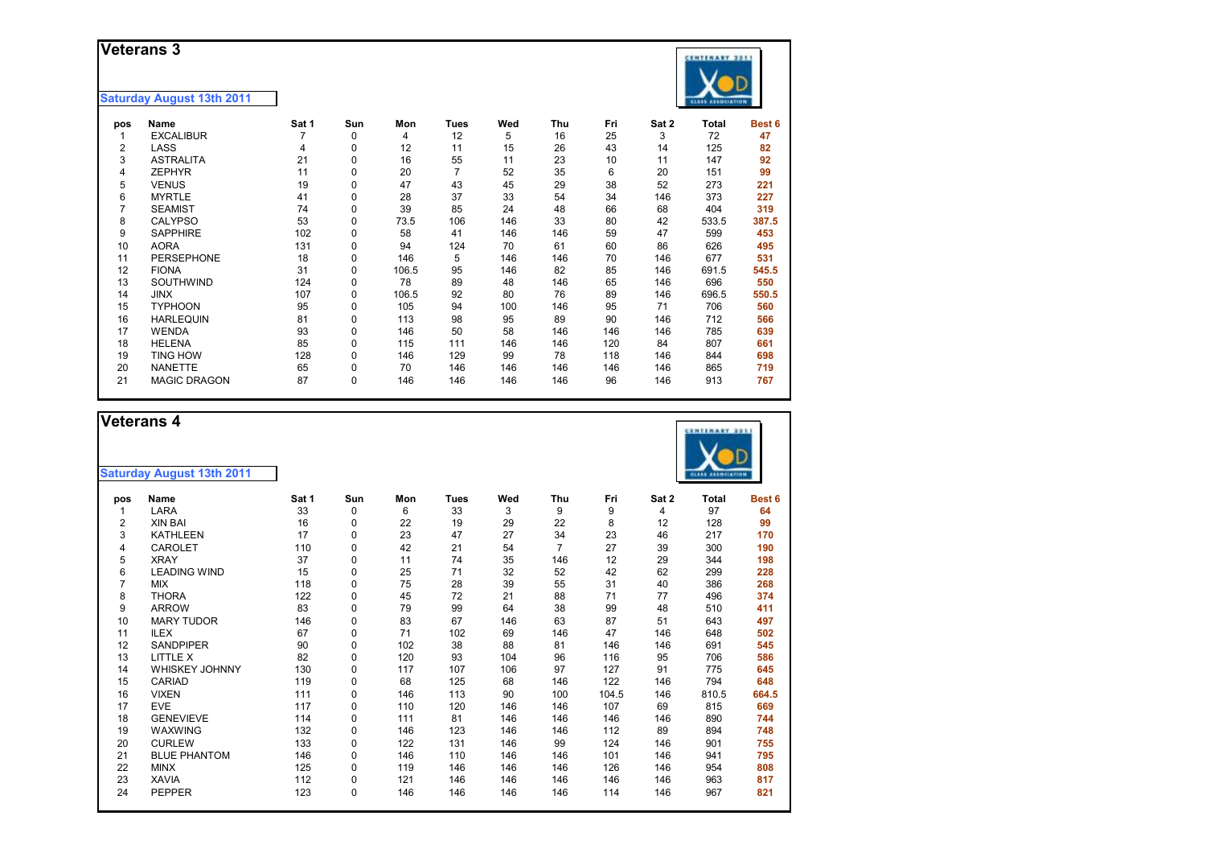### **Veterans 3**

#### **Saturday August 13th 2011**

|  | 22 N A |  |
|--|--------|--|

| pos | Name                | Sat 1 | Sun      | Mon   | <b>Tues</b> | Wed | Thu | Fri | Sat 2 | Total | Best <sub>6</sub> |
|-----|---------------------|-------|----------|-------|-------------|-----|-----|-----|-------|-------|-------------------|
|     | <b>EXCALIBUR</b>    |       | 0        | 4     | 12          | 5   | 16  | 25  | 3     | 72    | 47                |
| 2   | LASS                | 4     | 0        | 12    | 11          | 15  | 26  | 43  | 14    | 125   | 82                |
| 3   | <b>ASTRALITA</b>    | 21    | 0        | 16    | 55          | 11  | 23  | 10  | 11    | 147   | 92                |
| 4   | <b>ZEPHYR</b>       | 11    | $\Omega$ | 20    | 7           | 52  | 35  | 6   | 20    | 151   | 99                |
| 5   | <b>VENUS</b>        | 19    | $\Omega$ | 47    | 43          | 45  | 29  | 38  | 52    | 273   | 221               |
| 6   | <b>MYRTLE</b>       | 41    | 0        | 28    | 37          | 33  | 54  | 34  | 146   | 373   | 227               |
|     | <b>SEAMIST</b>      | 74    | 0        | 39    | 85          | 24  | 48  | 66  | 68    | 404   | 319               |
| 8   | <b>CALYPSO</b>      | 53    | 0        | 73.5  | 106         | 146 | 33  | 80  | 42    | 533.5 | 387.5             |
| 9   | <b>SAPPHIRE</b>     | 102   | 0        | 58    | 41          | 146 | 146 | 59  | 47    | 599   | 453               |
| 10  | <b>AORA</b>         | 131   | $\Omega$ | 94    | 124         | 70  | 61  | 60  | 86    | 626   | 495               |
| 11  | <b>PERSEPHONE</b>   | 18    | $\Omega$ | 146   | 5           | 146 | 146 | 70  | 146   | 677   | 531               |
| 12  | <b>FIONA</b>        | 31    | 0        | 106.5 | 95          | 146 | 82  | 85  | 146   | 691.5 | 545.5             |
| 13  | SOUTHWIND           | 124   | 0        | 78    | 89          | 48  | 146 | 65  | 146   | 696   | 550               |
| 14  | <b>JINX</b>         | 107   | 0        | 106.5 | 92          | 80  | 76  | 89  | 146   | 696.5 | 550.5             |
| 15  | <b>TYPHOON</b>      | 95    | $\Omega$ | 105   | 94          | 100 | 146 | 95  | 71    | 706   | 560               |
| 16  | <b>HARLEQUIN</b>    | 81    | $\Omega$ | 113   | 98          | 95  | 89  | 90  | 146   | 712   | 566               |
| 17  | <b>WENDA</b>        | 93    | 0        | 146   | 50          | 58  | 146 | 146 | 146   | 785   | 639               |
| 18  | <b>HELENA</b>       | 85    | 0        | 115   | 111         | 146 | 146 | 120 | 84    | 807   | 661               |
| 19  | <b>TING HOW</b>     | 128   | 0        | 146   | 129         | 99  | 78  | 118 | 146   | 844   | 698               |
| 20  | <b>NANETTE</b>      | 65    | 0        | 70    | 146         | 146 | 146 | 146 | 146   | 865   | 719               |
| 21  | <b>MAGIC DRAGON</b> | 87    | $\Omega$ | 146   | 146         | 146 | 146 | 96  | 146   | 913   | 767               |
|     |                     |       |          |       |             |     |     |     |       |       |                   |

### **Veterans 4**

| <b>Saturday August 13th 2011</b> |  |  |
|----------------------------------|--|--|

| pos | Name                  | Sat 1 | Sun | Mon | Tues | Wed | Thu            | Fri   | Sat 2 | Total | Best 6 |
|-----|-----------------------|-------|-----|-----|------|-----|----------------|-------|-------|-------|--------|
|     | LARA                  | 33    | 0   | 6   | 33   | 3   | 9              | 9     | 4     | 97    | 64     |
| 2   | <b>XIN BAI</b>        | 16    | 0   | 22  | 19   | 29  | 22             | 8     | 12    | 128   | 99     |
| 3   | <b>KATHLEEN</b>       | 17    | 0   | 23  | 47   | 27  | 34             | 23    | 46    | 217   | 170    |
| 4   | <b>CAROLET</b>        | 110   | 0   | 42  | 21   | 54  | $\overline{7}$ | 27    | 39    | 300   | 190    |
| 5   | <b>XRAY</b>           | 37    | 0   | 11  | 74   | 35  | 146            | 12    | 29    | 344   | 198    |
| 6   | <b>LEADING WIND</b>   | 15    | 0   | 25  | 71   | 32  | 52             | 42    | 62    | 299   | 228    |
|     | <b>MIX</b>            | 118   | 0   | 75  | 28   | 39  | 55             | 31    | 40    | 386   | 268    |
| 8   | <b>THORA</b>          | 122   | 0   | 45  | 72   | 21  | 88             | 71    | 77    | 496   | 374    |
| 9   | <b>ARROW</b>          | 83    | 0   | 79  | 99   | 64  | 38             | 99    | 48    | 510   | 411    |
| 10  | <b>MARY TUDOR</b>     | 146   | 0   | 83  | 67   | 146 | 63             | 87    | 51    | 643   | 497    |
| 11  | <b>ILEX</b>           | 67    | 0   | 71  | 102  | 69  | 146            | 47    | 146   | 648   | 502    |
| 12  | <b>SANDPIPER</b>      | 90    | 0   | 102 | 38   | 88  | 81             | 146   | 146   | 691   | 545    |
| 13  | LITTLE X              | 82    | 0   | 120 | 93   | 104 | 96             | 116   | 95    | 706   | 586    |
| 14  | <b>WHISKEY JOHNNY</b> | 130   | 0   | 117 | 107  | 106 | 97             | 127   | 91    | 775   | 645    |
| 15  | CARIAD                | 119   | 0   | 68  | 125  | 68  | 146            | 122   | 146   | 794   | 648    |
| 16  | <b>VIXEN</b>          | 111   | 0   | 146 | 113  | 90  | 100            | 104.5 | 146   | 810.5 | 664.5  |
| 17  | <b>EVE</b>            | 117   | 0   | 110 | 120  | 146 | 146            | 107   | 69    | 815   | 669    |
| 18  | <b>GENEVIEVE</b>      | 114   | 0   | 111 | 81   | 146 | 146            | 146   | 146   | 890   | 744    |
| 19  | <b>WAXWING</b>        | 132   | 0   | 146 | 123  | 146 | 146            | 112   | 89    | 894   | 748    |
| 20  | <b>CURLEW</b>         | 133   | 0   | 122 | 131  | 146 | 99             | 124   | 146   | 901   | 755    |
| 21  | <b>BLUE PHANTOM</b>   | 146   | 0   | 146 | 110  | 146 | 146            | 101   | 146   | 941   | 795    |
| 22  | <b>MINX</b>           | 125   | 0   | 119 | 146  | 146 | 146            | 126   | 146   | 954   | 808    |
| 23  | <b>XAVIA</b>          | 112   | 0   | 121 | 146  | 146 | 146            | 146   | 146   | 963   | 817    |
| 24  | <b>PEPPER</b>         | 123   | 0   | 146 | 146  | 146 | 146            | 114   | 146   | 967   | 821    |
|     |                       |       |     |     |      |     |                |       |       |       |        |

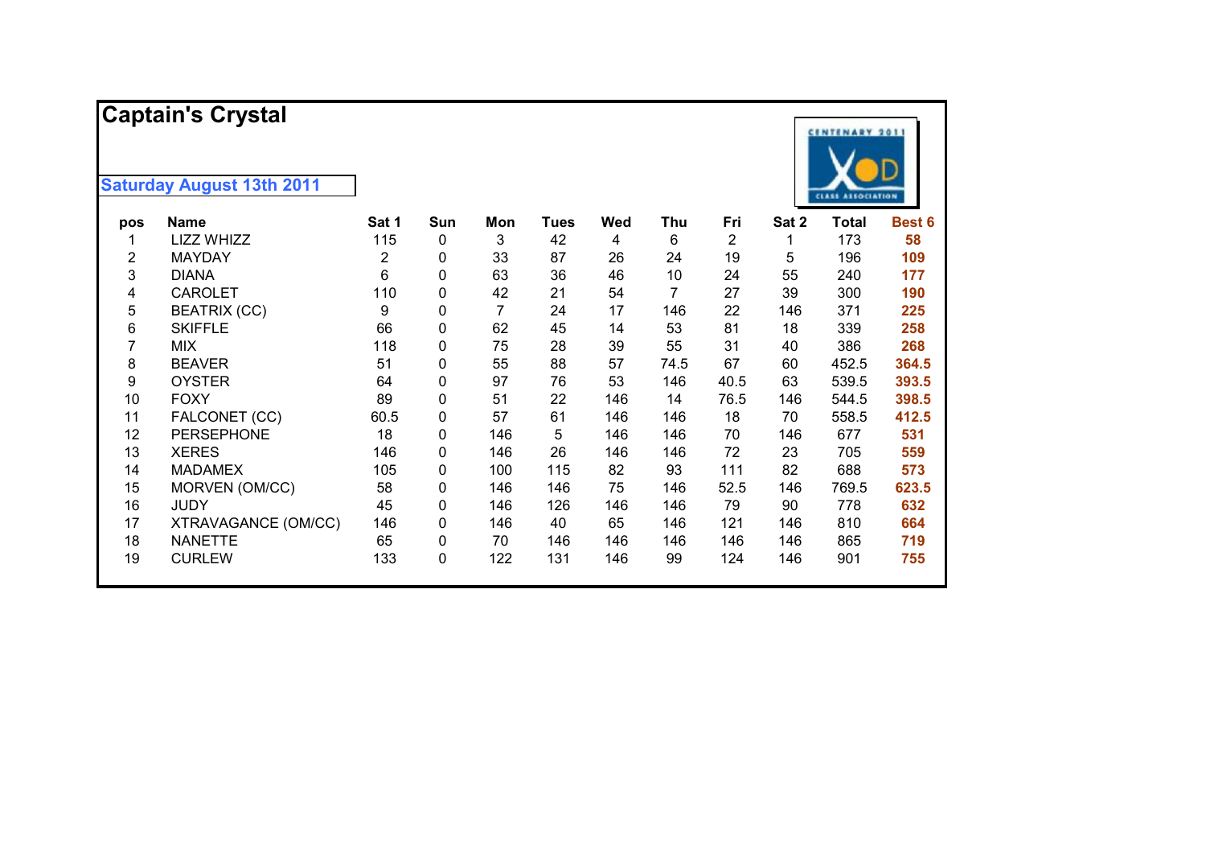|                         | <b>Captain's Crystal</b>         |                |     |                |             |     |      |      |       | <b>CENTENARY 2011</b>    |        |
|-------------------------|----------------------------------|----------------|-----|----------------|-------------|-----|------|------|-------|--------------------------|--------|
|                         | <b>Saturday August 13th 2011</b> |                |     |                |             |     |      |      |       | <b>CLASS ASSOCIATION</b> |        |
| pos                     | <b>Name</b>                      | Sat 1          | Sun | Mon            | <b>Tues</b> | Wed | Thu  | Fri  | Sat 2 | <b>Total</b>             | Best 6 |
| 1                       | LIZZ WHIZZ                       | 115            | 0   | 3              | 42          | 4   | 6    | 2    | 1     | 173                      | 58     |
| $\overline{\mathbf{c}}$ | <b>MAYDAY</b>                    | $\overline{2}$ | 0   | 33             | 87          | 26  | 24   | 19   | 5     | 196                      | 109    |
| 3                       | <b>DIANA</b>                     | 6              | 0   | 63             | 36          | 46  | 10   | 24   | 55    | 240                      | 177    |
| 4                       | <b>CAROLET</b>                   | 110            | 0   | 42             | 21          | 54  | 7    | 27   | 39    | 300                      | 190    |
| 5                       | <b>BEATRIX (CC)</b>              | 9              | 0   | $\overline{7}$ | 24          | 17  | 146  | 22   | 146   | 371                      | 225    |
| 6                       | <b>SKIFFLE</b>                   | 66             | 0   | 62             | 45          | 14  | 53   | 81   | 18    | 339                      | 258    |
| 7                       | <b>MIX</b>                       | 118            | 0   | 75             | 28          | 39  | 55   | 31   | 40    | 386                      | 268    |
| 8                       | <b>BEAVER</b>                    | 51             | 0   | 55             | 88          | 57  | 74.5 | 67   | 60    | 452.5                    | 364.5  |
| 9                       | <b>OYSTER</b>                    | 64             | 0   | 97             | 76          | 53  | 146  | 40.5 | 63    | 539.5                    | 393.5  |
| 10                      | <b>FOXY</b>                      | 89             | 0   | 51             | 22          | 146 | 14   | 76.5 | 146   | 544.5                    | 398.5  |
| 11                      | FALCONET (CC)                    | 60.5           | 0   | 57             | 61          | 146 | 146  | 18   | 70    | 558.5                    | 412.5  |
| 12                      | <b>PERSEPHONE</b>                | 18             | 0   | 146            | 5           | 146 | 146  | 70   | 146   | 677                      | 531    |
| 13                      | <b>XERES</b>                     | 146            | 0   | 146            | 26          | 146 | 146  | 72   | 23    | 705                      | 559    |
| 14                      | <b>MADAMEX</b>                   | 105            | 0   | 100            | 115         | 82  | 93   | 111  | 82    | 688                      | 573    |
| 15                      | MORVEN (OM/CC)                   | 58             | 0   | 146            | 146         | 75  | 146  | 52.5 | 146   | 769.5                    | 623.5  |
| 16                      | <b>JUDY</b>                      | 45             | 0   | 146            | 126         | 146 | 146  | 79   | 90    | 778                      | 632    |
| 17                      | XTRAVAGANCE (OM/CC)              | 146            | 0   | 146            | 40          | 65  | 146  | 121  | 146   | 810                      | 664    |
| 18                      | <b>NANETTE</b>                   | 65             | 0   | 70             | 146         | 146 | 146  | 146  | 146   | 865                      | 719    |
| 19                      | <b>CURLEW</b>                    | 133            | 0   | 122            | 131         | 146 | 99   | 124  | 146   | 901                      | 755    |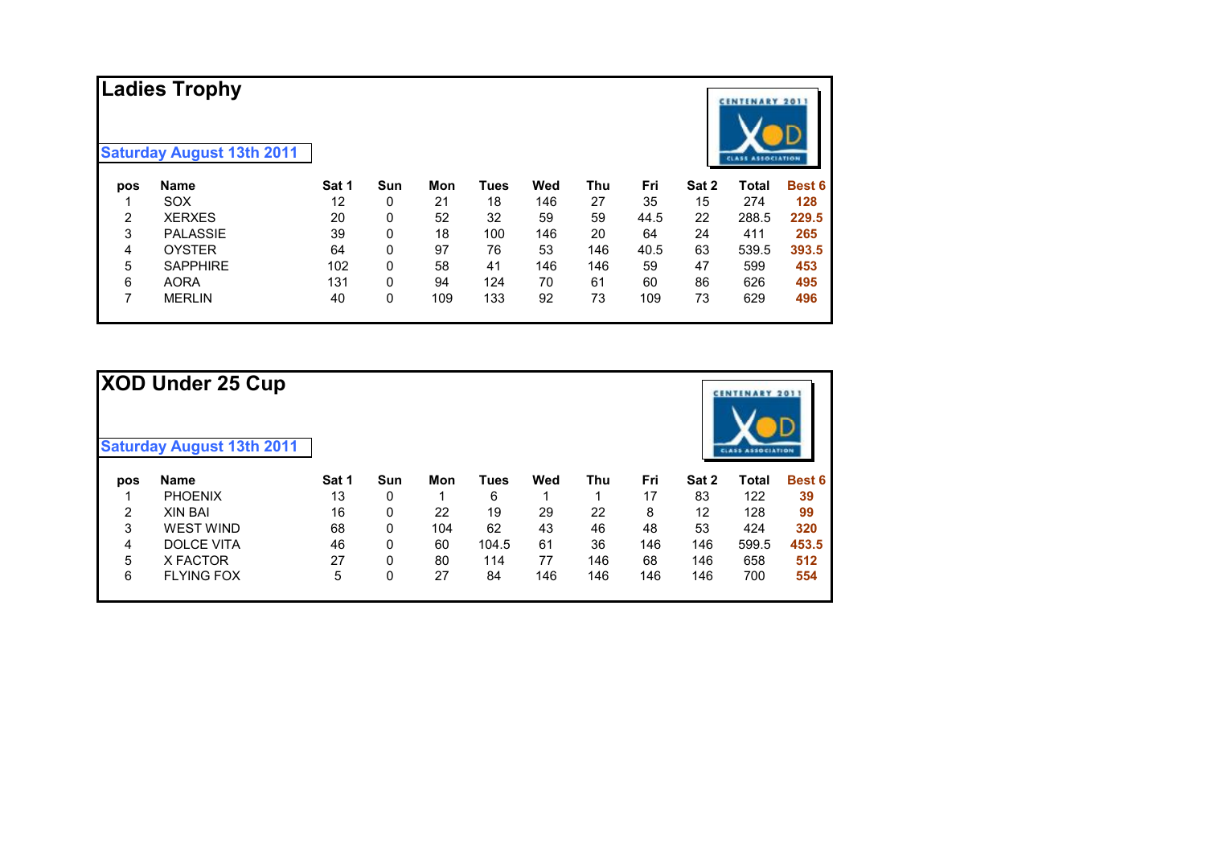|     | <b>Ladies Trophy</b>             |       |              |     |             |     |            |      |       | <b>CENTENARY 2011</b>    |               |
|-----|----------------------------------|-------|--------------|-----|-------------|-----|------------|------|-------|--------------------------|---------------|
|     | <b>Saturday August 13th 2011</b> |       |              |     |             |     |            |      |       | <b>CLASS ASSOCIATION</b> |               |
| pos | <b>Name</b>                      | Sat 1 | Sun          | Mon | <b>Tues</b> | Wed | <b>Thu</b> | Fri  | Sat 2 | <b>Total</b>             | <b>Best 6</b> |
|     | <b>SOX</b>                       | 12    | 0            | 21  | 18          | 146 | 27         | 35   | 15    | 274                      | 128           |
| 2   | <b>XERXES</b>                    | 20    | $\mathbf{0}$ | 52  | 32          | 59  | 59         | 44.5 | 22    | 288.5                    | 229.5         |
| 3   | <b>PALASSIE</b>                  | 39    | $\mathbf{0}$ | 18  | 100         | 146 | 20         | 64   | 24    | 411                      | 265           |
| 4   | <b>OYSTER</b>                    | 64    | 0            | 97  | 76          | 53  | 146        | 40.5 | 63    | 539.5                    | 393.5         |
| 5   | <b>SAPPHIRE</b>                  | 102   | 0            | 58  | 41          | 146 | 146        | 59   | 47    | 599                      | 453           |
| 6   | <b>AORA</b>                      | 131   | 0            | 94  | 124         | 70  | 61         | 60   | 86    | 626                      | 495           |
| 7   | <b>MERLIN</b>                    | 40    | 0            | 109 | 133         | 92  | 73         | 109  | 73    | 629                      | 496           |

|     | <b>XOD Under 25 Cup</b><br><b>Saturday August 13th 2011</b> |       |            |     |       |     |            |     |       | <b>CENTENARY 2011</b><br><b>CLASS ASSOCIATION</b> |               |
|-----|-------------------------------------------------------------|-------|------------|-----|-------|-----|------------|-----|-------|---------------------------------------------------|---------------|
| pos | <b>Name</b>                                                 | Sat 1 | <b>Sun</b> | Mon | Tues  | Wed | <b>Thu</b> | Fri | Sat 2 | <b>Total</b>                                      | <b>Best 6</b> |
|     | <b>PHOENIX</b>                                              | 13    | 0          |     | 6     |     | 1          | 17  | 83    | 122                                               | 39            |
| 2   | <b>XIN BAI</b>                                              | 16    | 0          | 22  | 19    | 29  | 22         | 8   | 12    | 128                                               | 99            |
| 3   | <b>WEST WIND</b>                                            | 68    | $\Omega$   | 104 | 62    | 43  | 46         | 48  | 53    | 424                                               | 320           |
| 4   | <b>DOLCE VITA</b>                                           | 46    | 0          | 60  | 104.5 | 61  | 36         | 146 | 146   | 599.5                                             | 453.5         |
| 5   | X FACTOR                                                    | 27    | 0          | 80  | 114   | 77  | 146        | 68  | 146   | 658                                               | 512           |
| 6   | <b>FLYING FOX</b>                                           | 5     | 0          | 27  | 84    | 146 | 146        | 146 | 146   | 700                                               | 554           |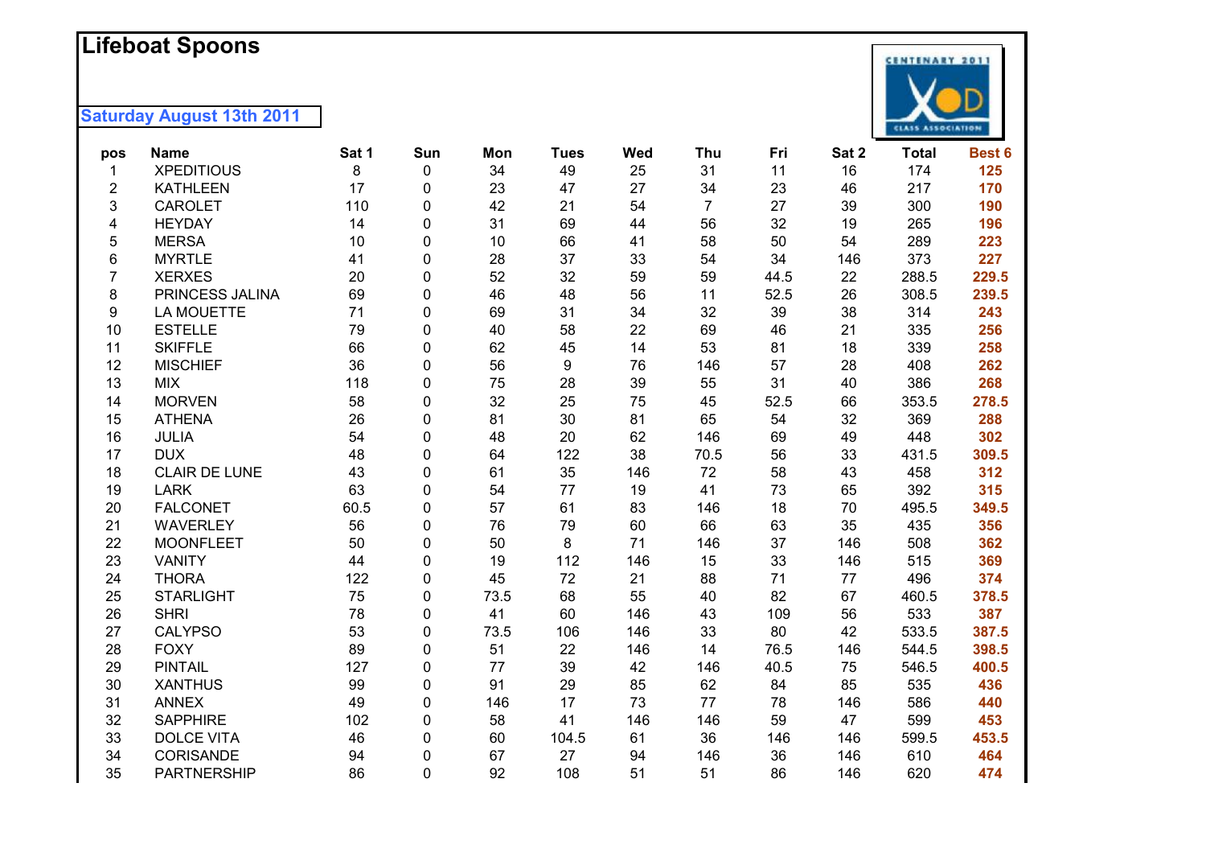## **Lifeboat Spoons**



| pos            | <b>Name</b>          | Sat 1 | Sun | Mon  | <b>Tues</b> | <b>Wed</b> | Thu            | Fri  | Sat 2 | <b>Total</b> | Best 6 |
|----------------|----------------------|-------|-----|------|-------------|------------|----------------|------|-------|--------------|--------|
| 1              | <b>XPEDITIOUS</b>    | 8     | 0   | 34   | 49          | 25         | 31             | 11   | 16    | 174          | 125    |
| $\overline{2}$ | <b>KATHLEEN</b>      | 17    | 0   | 23   | 47          | 27         | 34             | 23   | 46    | 217          | 170    |
| 3              | <b>CAROLET</b>       | 110   | 0   | 42   | 21          | 54         | $\overline{7}$ | 27   | 39    | 300          | 190    |
| 4              | <b>HEYDAY</b>        | 14    | 0   | 31   | 69          | 44         | 56             | 32   | 19    | 265          | 196    |
| 5              | <b>MERSA</b>         | 10    | 0   | 10   | 66          | 41         | 58             | 50   | 54    | 289          | 223    |
| 6              | <b>MYRTLE</b>        | 41    | 0   | 28   | 37          | 33         | 54             | 34   | 146   | 373          | 227    |
| $\overline{7}$ | <b>XERXES</b>        | 20    | 0   | 52   | 32          | 59         | 59             | 44.5 | 22    | 288.5        | 229.5  |
| 8              | PRINCESS JALINA      | 69    | 0   | 46   | 48          | 56         | 11             | 52.5 | 26    | 308.5        | 239.5  |
| 9              | LA MOUETTE           | 71    | 0   | 69   | 31          | 34         | 32             | 39   | 38    | 314          | 243    |
| 10             | <b>ESTELLE</b>       | 79    | 0   | 40   | 58          | 22         | 69             | 46   | 21    | 335          | 256    |
| 11             | <b>SKIFFLE</b>       | 66    | 0   | 62   | 45          | 14         | 53             | 81   | 18    | 339          | 258    |
| 12             | <b>MISCHIEF</b>      | 36    | 0   | 56   | 9           | 76         | 146            | 57   | 28    | 408          | 262    |
| 13             | <b>MIX</b>           | 118   | 0   | 75   | 28          | 39         | 55             | 31   | 40    | 386          | 268    |
| 14             | <b>MORVEN</b>        | 58    | 0   | 32   | 25          | 75         | 45             | 52.5 | 66    | 353.5        | 278.5  |
| 15             | <b>ATHENA</b>        | 26    | 0   | 81   | 30          | 81         | 65             | 54   | 32    | 369          | 288    |
| 16             | <b>JULIA</b>         | 54    | 0   | 48   | 20          | 62         | 146            | 69   | 49    | 448          | 302    |
| 17             | <b>DUX</b>           | 48    | 0   | 64   | 122         | 38         | 70.5           | 56   | 33    | 431.5        | 309.5  |
| 18             | <b>CLAIR DE LUNE</b> | 43    | 0   | 61   | 35          | 146        | 72             | 58   | 43    | 458          | 312    |
| 19             | <b>LARK</b>          | 63    | 0   | 54   | 77          | 19         | 41             | 73   | 65    | 392          | 315    |
| 20             | <b>FALCONET</b>      | 60.5  | 0   | 57   | 61          | 83         | 146            | 18   | 70    | 495.5        | 349.5  |
| 21             | <b>WAVERLEY</b>      | 56    | 0   | 76   | 79          | 60         | 66             | 63   | 35    | 435          | 356    |
| 22             | <b>MOONFLEET</b>     | 50    | 0   | 50   | 8           | 71         | 146            | 37   | 146   | 508          | 362    |
| 23             | <b>VANITY</b>        | 44    | 0   | 19   | 112         | 146        | 15             | 33   | 146   | 515          | 369    |
| 24             | <b>THORA</b>         | 122   | 0   | 45   | 72          | 21         | 88             | 71   | 77    | 496          | 374    |
| 25             | <b>STARLIGHT</b>     | 75    | 0   | 73.5 | 68          | 55         | 40             | 82   | 67    | 460.5        | 378.5  |
| 26             | <b>SHRI</b>          | 78    | 0   | 41   | 60          | 146        | 43             | 109  | 56    | 533          | 387    |
| 27             | <b>CALYPSO</b>       | 53    | 0   | 73.5 | 106         | 146        | 33             | 80   | 42    | 533.5        | 387.5  |
| 28             | <b>FOXY</b>          | 89    | 0   | 51   | 22          | 146        | 14             | 76.5 | 146   | 544.5        | 398.5  |
| 29             | <b>PINTAIL</b>       | 127   | 0   | 77   | 39          | 42         | 146            | 40.5 | 75    | 546.5        | 400.5  |
| 30             | <b>XANTHUS</b>       | 99    | 0   | 91   | 29          | 85         | 62             | 84   | 85    | 535          | 436    |
| 31             | <b>ANNEX</b>         | 49    | 0   | 146  | 17          | 73         | 77             | 78   | 146   | 586          | 440    |
| 32             | <b>SAPPHIRE</b>      | 102   | 0   | 58   | 41          | 146        | 146            | 59   | 47    | 599          | 453    |
| 33             | <b>DOLCE VITA</b>    | 46    | 0   | 60   | 104.5       | 61         | 36             | 146  | 146   | 599.5        | 453.5  |
| 34             | CORISANDE            | 94    | 0   | 67   | 27          | 94         | 146            | 36   | 146   | 610          | 464    |
| 35             | <b>PARTNERSHIP</b>   | 86    | 0   | 92   | 108         | 51         | 51             | 86   | 146   | 620          | 474    |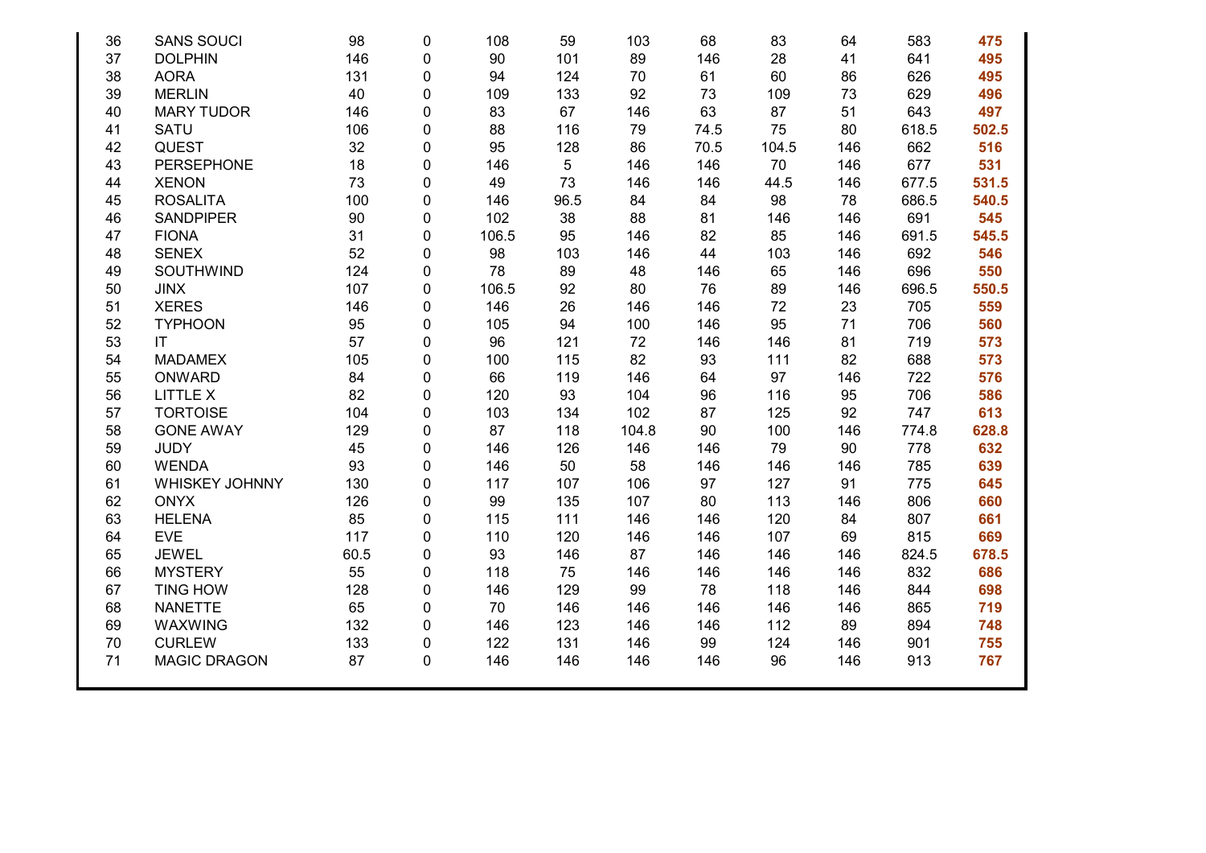| 36 | <b>SANS SOUCI</b>   | 98   | 0 | 108   | 59   | 103   | 68   | 83    | 64  | 583   | 475   |
|----|---------------------|------|---|-------|------|-------|------|-------|-----|-------|-------|
| 37 | <b>DOLPHIN</b>      | 146  | 0 | 90    | 101  | 89    | 146  | 28    | 41  | 641   | 495   |
| 38 | <b>AORA</b>         | 131  | 0 | 94    | 124  | 70    | 61   | 60    | 86  | 626   | 495   |
| 39 | <b>MERLIN</b>       | 40   | 0 | 109   | 133  | 92    | 73   | 109   | 73  | 629   | 496   |
| 40 | <b>MARY TUDOR</b>   | 146  | 0 | 83    | 67   | 146   | 63   | 87    | 51  | 643   | 497   |
| 41 | SATU                | 106  | 0 | 88    | 116  | 79    | 74.5 | 75    | 80  | 618.5 | 502.5 |
| 42 | <b>QUEST</b>        | 32   | 0 | 95    | 128  | 86    | 70.5 | 104.5 | 146 | 662   | 516   |
| 43 | <b>PERSEPHONE</b>   | 18   | 0 | 146   | 5    | 146   | 146  | 70    | 146 | 677   | 531   |
| 44 | <b>XENON</b>        | 73   | 0 | 49    | 73   | 146   | 146  | 44.5  | 146 | 677.5 | 531.5 |
| 45 | <b>ROSALITA</b>     | 100  | 0 | 146   | 96.5 | 84    | 84   | 98    | 78  | 686.5 | 540.5 |
| 46 | <b>SANDPIPER</b>    | 90   | 0 | 102   | 38   | 88    | 81   | 146   | 146 | 691   | 545   |
| 47 | <b>FIONA</b>        | 31   | 0 | 106.5 | 95   | 146   | 82   | 85    | 146 | 691.5 | 545.5 |
| 48 | <b>SENEX</b>        | 52   | 0 | 98    | 103  | 146   | 44   | 103   | 146 | 692   | 546   |
| 49 | SOUTHWIND           | 124  | 0 | 78    | 89   | 48    | 146  | 65    | 146 | 696   | 550   |
| 50 | <b>JINX</b>         | 107  | 0 | 106.5 | 92   | 80    | 76   | 89    | 146 | 696.5 | 550.5 |
| 51 | <b>XERES</b>        | 146  | 0 | 146   | 26   | 146   | 146  | 72    | 23  | 705   | 559   |
| 52 | <b>TYPHOON</b>      | 95   | 0 | 105   | 94   | 100   | 146  | 95    | 71  | 706   | 560   |
| 53 | IT                  | 57   | 0 | 96    | 121  | 72    | 146  | 146   | 81  | 719   | 573   |
| 54 | <b>MADAMEX</b>      | 105  | 0 | 100   | 115  | 82    | 93   | 111   | 82  | 688   | 573   |
| 55 | ONWARD              | 84   | 0 | 66    | 119  | 146   | 64   | 97    | 146 | 722   | 576   |
| 56 | <b>LITTLE X</b>     | 82   | 0 | 120   | 93   | 104   | 96   | 116   | 95  | 706   | 586   |
| 57 | <b>TORTOISE</b>     | 104  | 0 | 103   | 134  | 102   | 87   | 125   | 92  | 747   | 613   |
| 58 | <b>GONE AWAY</b>    | 129  | 0 | 87    | 118  | 104.8 | 90   | 100   | 146 | 774.8 | 628.8 |
| 59 | <b>JUDY</b>         | 45   | 0 | 146   | 126  | 146   | 146  | 79    | 90  | 778   | 632   |
| 60 | <b>WENDA</b>        | 93   | 0 | 146   | 50   | 58    | 146  | 146   | 146 | 785   | 639   |
| 61 | WHISKEY JOHNNY      | 130  | 0 | 117   | 107  | 106   | 97   | 127   | 91  | 775   | 645   |
| 62 | <b>ONYX</b>         | 126  | 0 | 99    | 135  | 107   | 80   | 113   | 146 | 806   | 660   |
| 63 | <b>HELENA</b>       | 85   | 0 | 115   | 111  | 146   | 146  | 120   | 84  | 807   | 661   |
| 64 | <b>EVE</b>          | 117  | 0 | 110   | 120  | 146   | 146  | 107   | 69  | 815   | 669   |
| 65 | <b>JEWEL</b>        | 60.5 | 0 | 93    | 146  | 87    | 146  | 146   | 146 | 824.5 | 678.5 |
| 66 | <b>MYSTERY</b>      | 55   | 0 | 118   | 75   | 146   | 146  | 146   | 146 | 832   | 686   |
| 67 | <b>TING HOW</b>     | 128  | 0 | 146   | 129  | 99    | 78   | 118   | 146 | 844   | 698   |
| 68 | <b>NANETTE</b>      | 65   | 0 | 70    | 146  | 146   | 146  | 146   | 146 | 865   | 719   |
| 69 | <b>WAXWING</b>      | 132  | 0 | 146   | 123  | 146   | 146  | 112   | 89  | 894   | 748   |
| 70 | <b>CURLEW</b>       | 133  | 0 | 122   | 131  | 146   | 99   | 124   | 146 | 901   | 755   |
| 71 | <b>MAGIC DRAGON</b> | 87   | 0 | 146   | 146  | 146   | 146  | 96    | 146 | 913   | 767   |
|    |                     |      |   |       |      |       |      |       |     |       |       |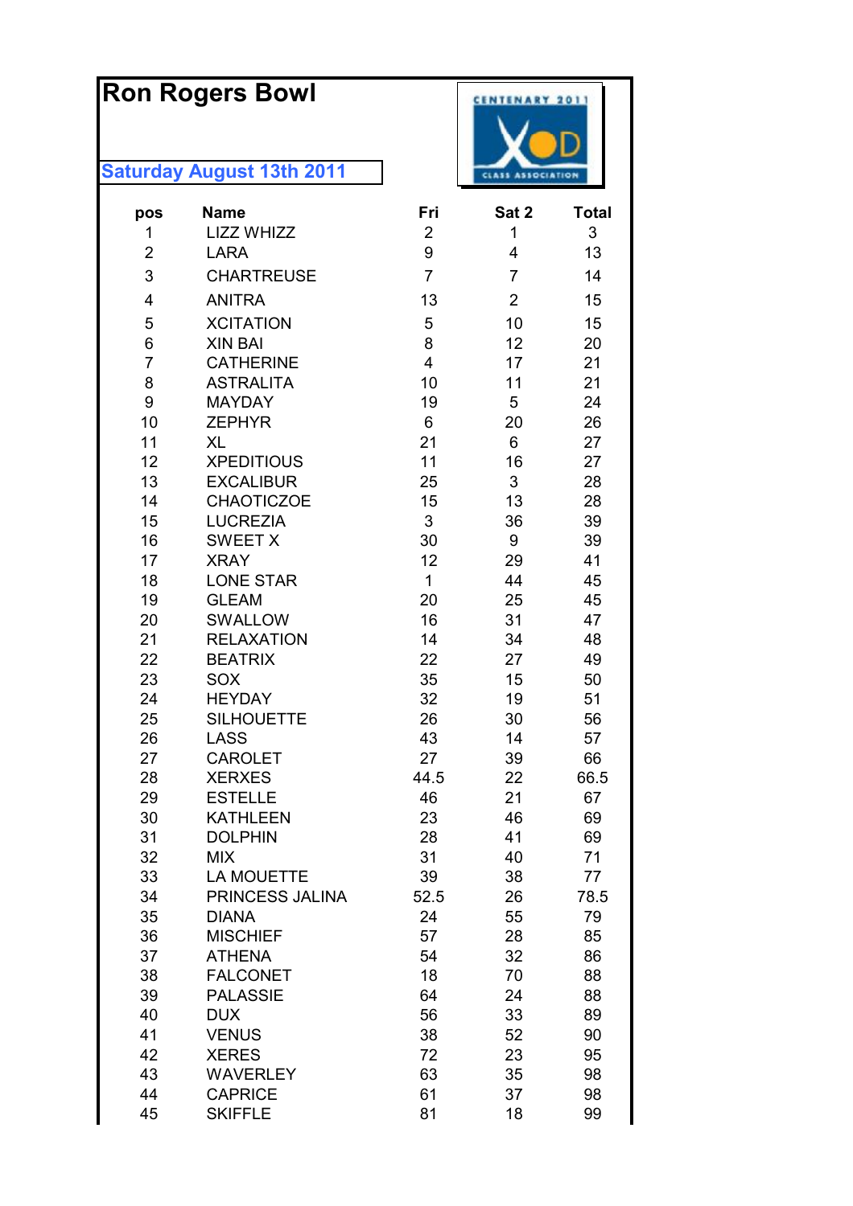# **Ron Rogers Bowl**

| pos            | <b>Name</b>                     | Fri            | Sat 2          | <b>Total</b> |
|----------------|---------------------------------|----------------|----------------|--------------|
| 1              | <b>LIZZ WHIZZ</b>               | $\overline{2}$ | 1              | 3            |
| $\overline{2}$ | <b>LARA</b>                     | 9              | 4              | 13           |
| 3              | <b>CHARTREUSE</b>               | $\overline{7}$ | $\overline{7}$ | 14           |
| 4              | <b>ANITRA</b>                   | 13             | $\overline{2}$ | 15           |
| 5              | <b>XCITATION</b>                | 5              | 10             | 15           |
| 6              | <b>XIN BAI</b>                  | 8              | 12             | 20           |
| $\overline{7}$ | <b>CATHERINE</b>                | 4              | 17             | 21           |
| 8              | <b>ASTRALITA</b>                | 10             | 11             | 21           |
| 9              | <b>MAYDAY</b>                   | 19             | 5              | 24           |
| 10             | <b>ZEPHYR</b>                   | 6              | 20             | 26           |
| 11             | <b>XL</b>                       | 21             | 6              | 27           |
| 12             | <b>XPEDITIOUS</b>               | 11             | 16             | 27           |
| 13             | <b>EXCALIBUR</b>                | 25             | 3              | 28           |
| 14             | <b>CHAOTICZOE</b>               | 15             | 13             | 28           |
| 15             | <b>LUCREZIA</b>                 | 3              | 36             | 39           |
| 16             | <b>SWEET X</b>                  | 30             | 9              | 39           |
| 17             | <b>XRAY</b>                     | 12             | 29             | 41           |
| 18             | <b>LONE STAR</b>                | 1              | 44             | 45           |
| 19             | <b>GLEAM</b>                    | 20             | 25             | 45           |
| 20             | SWALLOW                         | 16             | 31             | 47           |
| 21             | <b>RELAXATION</b>               | 14             | 34             | 48           |
| 22             | <b>BEATRIX</b>                  | 22             | 27             | 49           |
| 23             | SOX                             | 35             | 15             | 50           |
| 24             | <b>HEYDAY</b>                   | 32             | 19             | 51           |
| 25             | <b>SILHOUETTE</b>               | 26             | 30             | 56           |
| 26             | <b>LASS</b>                     | 43             | 14             | 57           |
| 27             | <b>CAROLET</b>                  | 27             | 39             | 66           |
| 28             | <b>XERXES</b><br><b>ESTELLE</b> | 44.5<br>46     | 22<br>21       | 66.5<br>67   |
| 29<br>30       | <b>KATHLEEN</b>                 | 23             | 46             | 69           |
| 31             | <b>DOLPHIN</b>                  | 28             | 41             | 69           |
| 32             | <b>MIX</b>                      | 31             | 40             | 71           |
| 33             | <b>LA MOUETTE</b>               | 39             | 38             | 77           |
| 34             | PRINCESS JALINA                 | 52.5           | 26             | 78.5         |
| 35             | <b>DIANA</b>                    | 24             | 55             | 79           |
| 36             | <b>MISCHIEF</b>                 | 57             | 28             | 85           |
| 37             | <b>ATHENA</b>                   | 54             | 32             | 86           |
| 38             | <b>FALCONET</b>                 | 18             | 70             | 88           |
| 39             | <b>PALASSIE</b>                 | 64             | 24             | 88           |
| 40             | <b>DUX</b>                      | 56             | 33             | 89           |
| 41             | <b>VENUS</b>                    | 38             | 52             | 90           |
| 42             | <b>XERES</b>                    | 72             | 23             | 95           |
| 43             | <b>WAVERLEY</b>                 | 63             | 35             | 98           |
| 44             | <b>CAPRICE</b>                  | 61             | 37             | 98           |
| 45             | <b>SKIFFLE</b>                  | 81             | 18             | 99           |

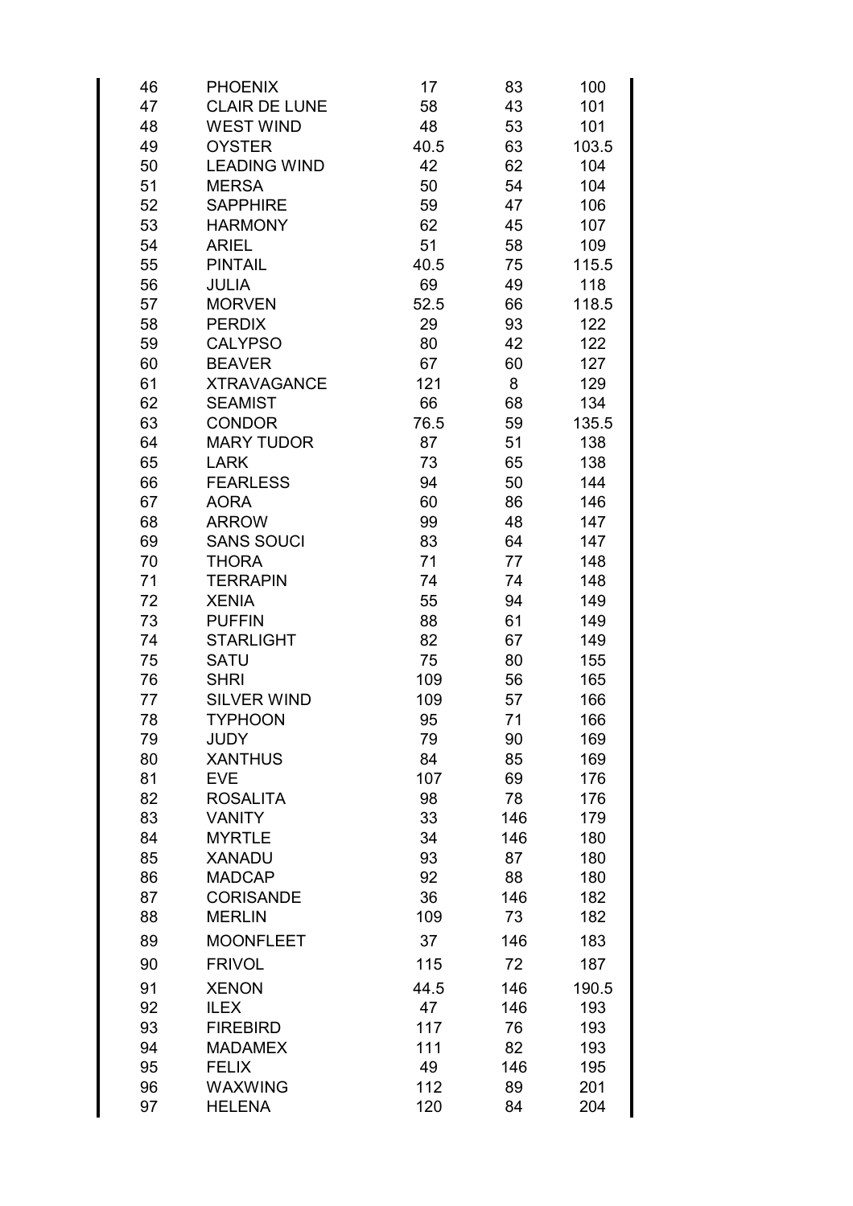| 46 | <b>PHOENIX</b>          | 17   | 83  | 100   |
|----|-------------------------|------|-----|-------|
| 47 | <b>CLAIR DE LUNE</b>    | 58   | 43  | 101   |
| 48 | <b>WEST WIND</b>        | 48   | 53  | 101   |
| 49 | <b>OYSTER</b>           | 40.5 | 63  | 103.5 |
| 50 | <b>LEADING WIND</b>     | 42   | 62  | 104   |
| 51 | <b>MERSA</b>            | 50   | 54  | 104   |
| 52 | <b>SAPPHIRE</b>         | 59   | 47  | 106   |
| 53 | <b>HARMONY</b>          | 62   | 45  | 107   |
| 54 | <b>ARIEL</b>            | 51   | 58  | 109   |
| 55 | <b>PINTAIL</b>          | 40.5 | 75  | 115.5 |
| 56 | <b>JULIA</b>            | 69   | 49  | 118   |
| 57 | <b>MORVEN</b>           | 52.5 | 66  | 118.5 |
| 58 | <b>PERDIX</b>           | 29   | 93  | 122   |
| 59 | <b>CALYPSO</b>          | 80   | 42  | 122   |
| 60 | <b>BEAVER</b>           | 67   | 60  | 127   |
| 61 | <b>XTRAVAGANCE</b>      | 121  | 8   | 129   |
| 62 | <b>SEAMIST</b>          | 66   | 68  | 134   |
| 63 | <b>CONDOR</b>           | 76.5 | 59  | 135.5 |
| 64 | <b>MARY TUDOR</b>       | 87   | 51  | 138   |
| 65 | <b>LARK</b>             | 73   | 65  | 138   |
| 66 | <b>FEARLESS</b>         | 94   | 50  | 144   |
| 67 | <b>AORA</b>             | 60   | 86  | 146   |
| 68 | <b>ARROW</b>            | 99   | 48  | 147   |
| 69 | <b>SANS SOUCI</b>       | 83   | 64  | 147   |
| 70 | <b>THORA</b>            | 71   | 77  | 148   |
| 71 | <b>TERRAPIN</b>         | 74   | 74  | 148   |
| 72 | <b>XENIA</b>            | 55   | 94  | 149   |
| 73 | <b>PUFFIN</b>           | 88   | 61  | 149   |
| 74 | <b>STARLIGHT</b>        | 82   | 67  | 149   |
| 75 | <b>SATU</b>             | 75   | 80  | 155   |
| 76 | <b>SHRI</b>             | 109  | 56  | 165   |
| 77 | <b>SILVER WIND</b>      | 109  | 57  | 166   |
| 78 | <b>TYPHOON</b>          | 95   | 71  | 166   |
| 79 | JUDY                    | 79   | 90  | 169   |
| 80 | <b>XANTHUS</b>          | 84   | 85  | 169   |
| 81 | <b>EVE</b>              | 107  | 69  | 176   |
| 82 | <b>ROSALITA</b>         | 98   | 78  | 176   |
| 83 | <b>VANITY</b>           | 33   | 146 | 179   |
| 84 | <b>MYRTLE</b>           | 34   | 146 | 180   |
| 85 | <b>XANADU</b>           | 93   | 87  | 180   |
| 86 | <b>MADCAP</b>           | 92   | 88  | 180   |
| 87 | <b>CORISANDE</b>        | 36   | 146 | 182   |
| 88 | <b>MERLIN</b>           | 109  | 73  | 182   |
| 89 | <b>MOONFLEET</b>        | 37   | 146 | 183   |
| 90 | <b>FRIVOL</b>           | 115  | 72  | 187   |
|    |                         |      |     |       |
| 91 | <b>XENON</b>            | 44.5 | 146 | 190.5 |
| 92 | <b>ILEX</b>             | 47   | 146 | 193   |
| 93 | <b>FIREBIRD</b>         | 117  | 76  | 193   |
| 94 | <b>MADAMEX</b>          | 111  | 82  | 193   |
| 95 | <b>FELIX</b><br>WAXWING | 49   | 146 | 195   |
| 96 |                         | 112  | 89  | 201   |
| 97 | <b>HELENA</b>           | 120  | 84  | 204   |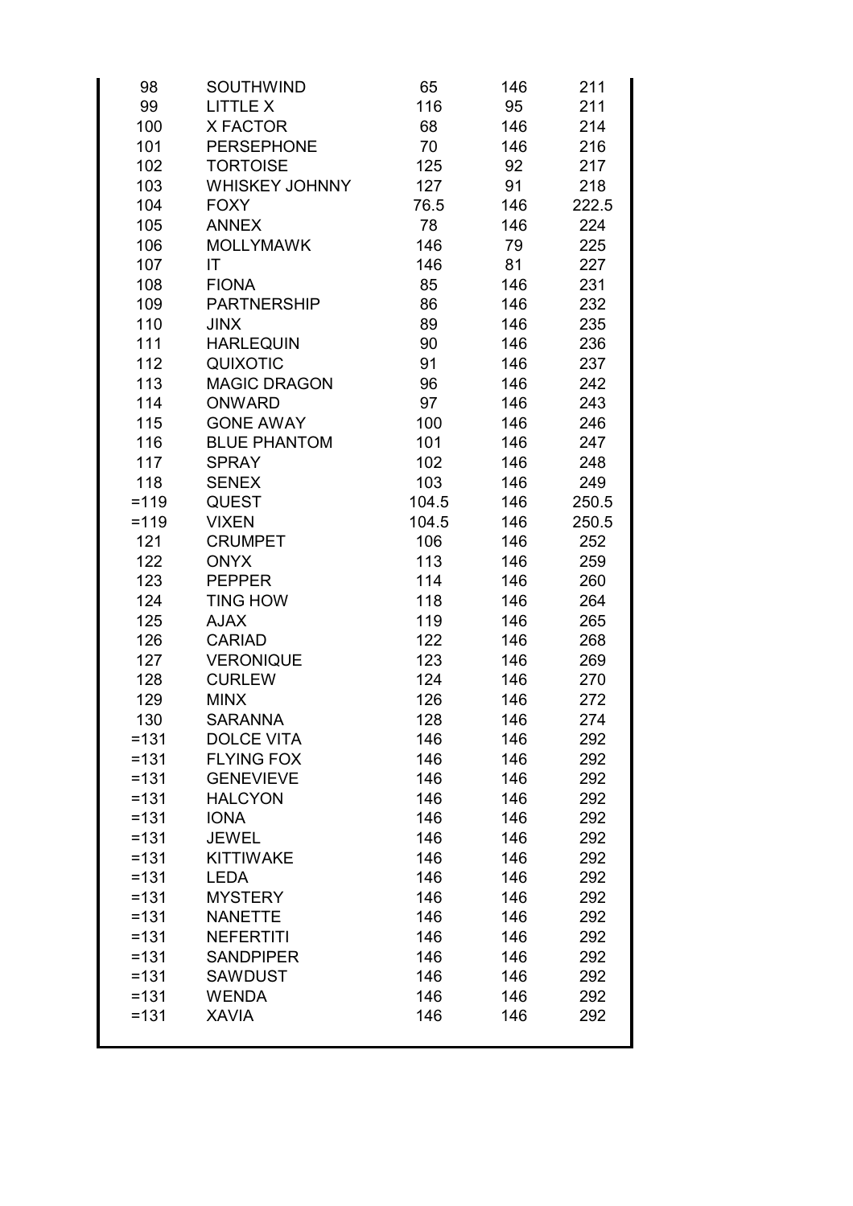| 98      | <b>SOUTHWIND</b>      | 65    | 146 | 211   |
|---------|-----------------------|-------|-----|-------|
| 99      | <b>LITTLE X</b>       | 116   | 95  | 211   |
| 100     | X FACTOR              | 68    | 146 | 214   |
| 101     | <b>PERSEPHONE</b>     | 70    | 146 | 216   |
| 102     | <b>TORTOISE</b>       | 125   | 92  | 217   |
| 103     | <b>WHISKEY JOHNNY</b> | 127   | 91  | 218   |
| 104     | <b>FOXY</b>           | 76.5  | 146 | 222.5 |
| 105     | <b>ANNEX</b>          | 78    | 146 | 224   |
| 106     | <b>MOLLYMAWK</b>      | 146   | 79  | 225   |
| 107     | ΙT                    | 146   | 81  | 227   |
| 108     | <b>FIONA</b>          | 85    | 146 | 231   |
| 109     | <b>PARTNERSHIP</b>    | 86    | 146 | 232   |
| 110     | JINX                  | 89    | 146 | 235   |
| 111     | <b>HARLEQUIN</b>      | 90    | 146 | 236   |
| 112     | <b>QUIXOTIC</b>       | 91    | 146 | 237   |
| 113     | <b>MAGIC DRAGON</b>   | 96    | 146 | 242   |
| 114     | <b>ONWARD</b>         | 97    | 146 | 243   |
| 115     | <b>GONE AWAY</b>      | 100   | 146 | 246   |
| 116     | <b>BLUE PHANTOM</b>   | 101   | 146 | 247   |
| 117     | <b>SPRAY</b>          | 102   | 146 | 248   |
| 118     | <b>SENEX</b>          | 103   | 146 | 249   |
| $= 119$ | <b>QUEST</b>          | 104.5 | 146 | 250.5 |
| $= 119$ | <b>VIXEN</b>          | 104.5 | 146 | 250.5 |
| 121     | <b>CRUMPET</b>        | 106   | 146 | 252   |
| 122     | <b>ONYX</b>           | 113   | 146 | 259   |
| 123     | <b>PEPPER</b>         | 114   | 146 | 260   |
| 124     | <b>TING HOW</b>       | 118   | 146 | 264   |
| 125     | <b>AJAX</b>           | 119   | 146 | 265   |
| 126     | <b>CARIAD</b>         | 122   | 146 | 268   |
| 127     | <b>VERONIQUE</b>      | 123   | 146 | 269   |
| 128     | <b>CURLEW</b>         | 124   | 146 | 270   |
| 129     | <b>MINX</b>           | 126   | 146 | 272   |
| 130     | <b>SARANNA</b>        | 128   | 146 | 274   |
| $=131$  | <b>DOLCE VITA</b>     | 146   | 146 | 292   |
| $=131$  | <b>FLYING FOX</b>     | 146   | 146 | 292   |
| $=131$  | <b>GENEVIEVE</b>      | 146   | 146 | 292   |
| $=131$  | <b>HALCYON</b>        | 146   | 146 | 292   |
| $=131$  | <b>IONA</b>           | 146   | 146 | 292   |
| $=131$  | <b>JEWEL</b>          | 146   | 146 | 292   |
| $=131$  | <b>KITTIWAKE</b>      | 146   | 146 | 292   |
| $=131$  | <b>LEDA</b>           | 146   | 146 | 292   |
| $=131$  | <b>MYSTERY</b>        | 146   | 146 | 292   |
| $=131$  | <b>NANETTE</b>        | 146   | 146 | 292   |
| $=131$  | <b>NEFERTITI</b>      | 146   | 146 | 292   |
| $=131$  | <b>SANDPIPER</b>      | 146   | 146 | 292   |
| $=131$  | <b>SAWDUST</b>        | 146   | 146 | 292   |
| $=131$  | <b>WENDA</b>          | 146   | 146 | 292   |
| $=131$  | <b>XAVIA</b>          | 146   | 146 | 292   |
|         |                       |       |     |       |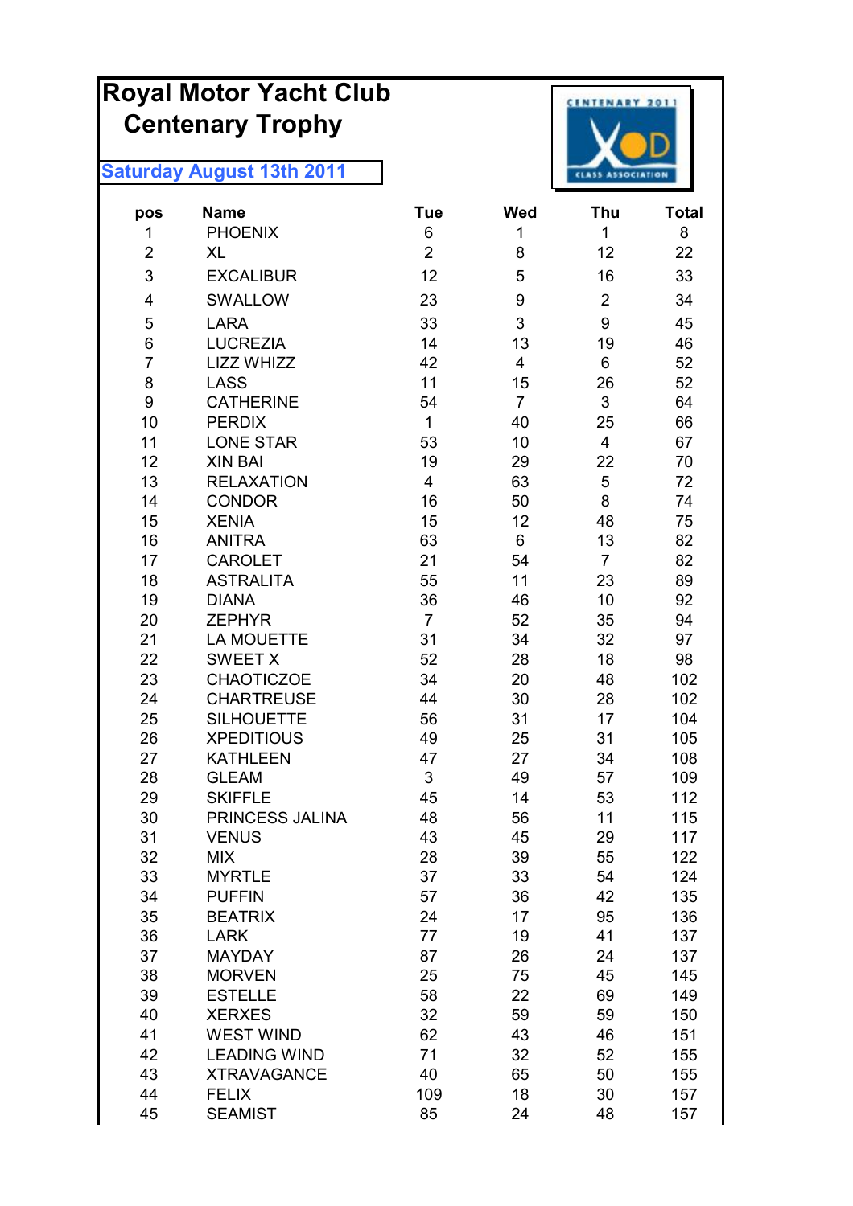# **Royal Motor Yacht Club Centenary Trophy**



| $\,6\,$<br>$\mathbf{1}$<br>1<br><b>PHOENIX</b><br>1<br>$\overline{2}$<br>$\overline{2}$<br>8<br>12<br><b>XL</b><br>3<br>5<br>12<br><b>EXCALIBUR</b><br>16<br>$\overline{2}$<br>SWALLOW<br>23<br>9<br>4 | 8<br>22<br>33<br>34<br>45<br>46<br>52 |
|--------------------------------------------------------------------------------------------------------------------------------------------------------------------------------------------------------|---------------------------------------|
|                                                                                                                                                                                                        |                                       |
|                                                                                                                                                                                                        |                                       |
|                                                                                                                                                                                                        |                                       |
|                                                                                                                                                                                                        |                                       |
| 3<br>9<br>5<br><b>LARA</b><br>33                                                                                                                                                                       |                                       |
| 6<br><b>LUCREZIA</b><br>14<br>13<br>19                                                                                                                                                                 |                                       |
| $\overline{7}$<br>LIZZ WHIZZ<br>6<br>42<br>4                                                                                                                                                           |                                       |
| 8<br>11<br><b>LASS</b><br>15<br>26                                                                                                                                                                     | 52                                    |
| 9<br>$\mathfrak{S}$<br><b>CATHERINE</b><br>54<br>$\overline{7}$                                                                                                                                        | 64                                    |
| 10<br>$\mathbf{1}$<br><b>PERDIX</b><br>40<br>25                                                                                                                                                        | 66                                    |
| 11<br><b>LONE STAR</b><br>53<br>10<br>4                                                                                                                                                                | 67                                    |
| 12<br>19<br>29<br>22<br><b>XIN BAI</b>                                                                                                                                                                 | 70                                    |
| 5<br>13<br><b>RELAXATION</b><br>$\overline{4}$<br>63                                                                                                                                                   | 72                                    |
| 8<br><b>CONDOR</b><br>16<br>14<br>50                                                                                                                                                                   | 74                                    |
| 15<br>15<br>12<br><b>XENIA</b><br>48                                                                                                                                                                   | 75                                    |
| 16<br>63<br>6<br>13<br><b>ANITRA</b>                                                                                                                                                                   | 82                                    |
| 17<br><b>CAROLET</b><br>21<br>$\overline{7}$<br>54                                                                                                                                                     | 82                                    |
| 18<br><b>ASTRALITA</b><br>11<br>23<br>55                                                                                                                                                               | 89                                    |
| 19<br><b>DIANA</b><br>36<br>10<br>46                                                                                                                                                                   | 92                                    |
| $\overline{7}$<br>52<br>20<br><b>ZEPHYR</b><br>35                                                                                                                                                      | 94                                    |
| <b>LA MOUETTE</b><br>31<br>21<br>34<br>32                                                                                                                                                              | 97                                    |
| 22<br><b>SWEET X</b><br>52<br>28<br>18                                                                                                                                                                 | 98                                    |
| <b>CHAOTICZOE</b><br>34<br>23<br>20<br>48                                                                                                                                                              | 102                                   |
| 24<br><b>CHARTREUSE</b><br>44<br>30<br>28                                                                                                                                                              | 102                                   |
| 25<br><b>SILHOUETTE</b><br>56<br>31<br>17                                                                                                                                                              | 104                                   |
| 26<br><b>XPEDITIOUS</b><br>49<br>31<br>25                                                                                                                                                              | 105                                   |
| <b>KATHLEEN</b><br>27<br>47<br>27<br>34                                                                                                                                                                | 108                                   |
| $\mathfrak{S}$<br>28<br><b>GLEAM</b><br>49<br>57                                                                                                                                                       | 109                                   |
| 29<br>53<br><b>SKIFFLE</b><br>45<br>14                                                                                                                                                                 | 112                                   |
| 30<br>PRINCESS JALINA<br>48<br>11<br>56                                                                                                                                                                | 115                                   |
| 31<br>43<br>29<br><b>VENUS</b><br>45                                                                                                                                                                   | 117                                   |
| 32<br><b>MIX</b><br>28<br>39<br>55                                                                                                                                                                     | 122                                   |
| 33<br><b>MYRTLE</b><br>37<br>33<br>54                                                                                                                                                                  | 124                                   |
| 34<br><b>PUFFIN</b><br>57<br>36<br>42<br><b>BEATRIX</b><br>17                                                                                                                                          | 135                                   |
| 35<br>95<br>24<br>36<br>41<br><b>LARK</b><br>77<br>19                                                                                                                                                  | 136<br>137                            |
| 37<br><b>MAYDAY</b><br>87<br>26<br>24                                                                                                                                                                  | 137                                   |
| 38<br><b>MORVEN</b><br>25<br>75<br>45                                                                                                                                                                  | 145                                   |
| 39<br>58<br>22<br>69<br><b>ESTELLE</b>                                                                                                                                                                 | 149                                   |
| 40<br><b>XERXES</b><br>32<br>59<br>59                                                                                                                                                                  | 150                                   |
| 41<br><b>WEST WIND</b><br>62<br>43<br>46                                                                                                                                                               | 151                                   |
| 42<br>32<br><b>LEADING WIND</b><br>71<br>52                                                                                                                                                            | 155                                   |
| 43<br><b>XTRAVAGANCE</b><br>40<br>65<br>50                                                                                                                                                             | 155                                   |
| 44<br><b>FELIX</b><br>109<br>18<br>30                                                                                                                                                                  | 157                                   |
| 85<br>45<br><b>SEAMIST</b><br>24<br>48                                                                                                                                                                 | 157                                   |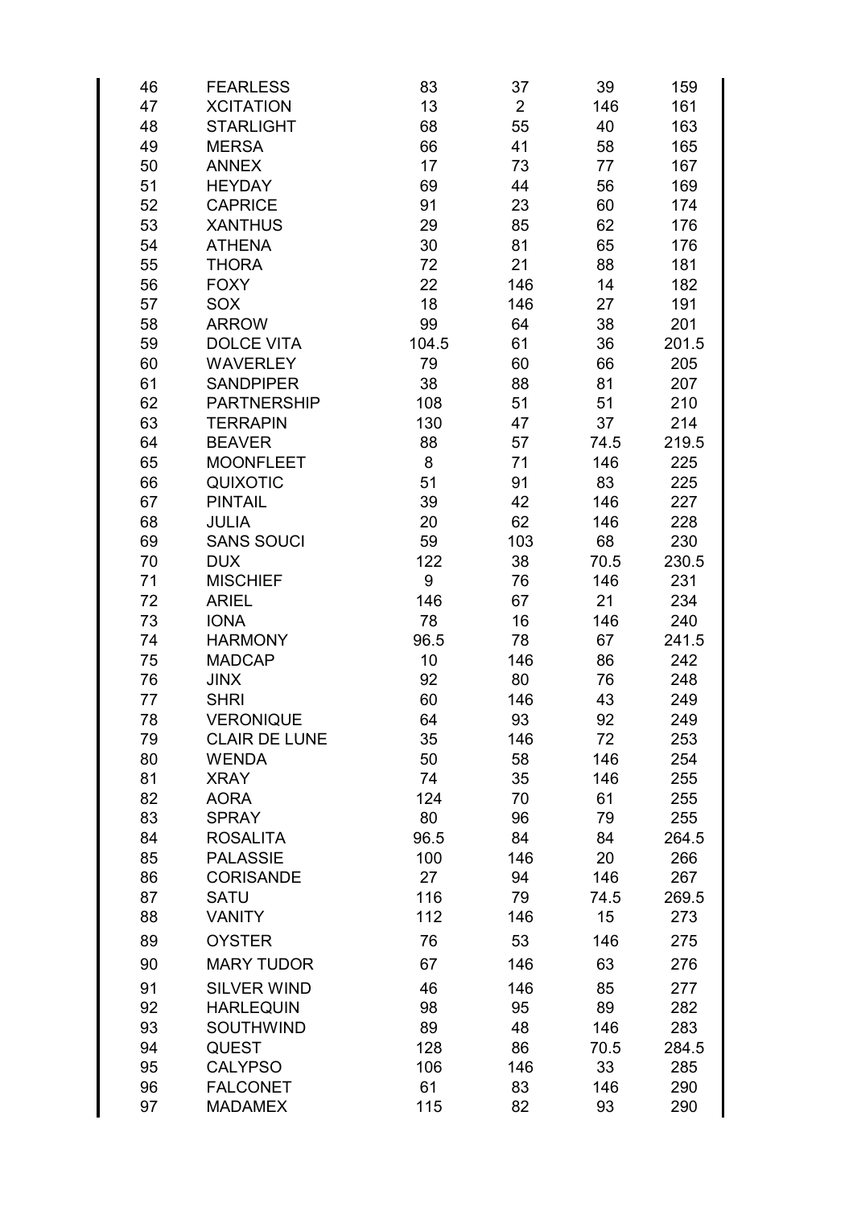| 46 | <b>FEARLESS</b>      | 83    | 37             | 39   | 159   |
|----|----------------------|-------|----------------|------|-------|
| 47 | <b>XCITATION</b>     | 13    | $\overline{2}$ | 146  | 161   |
| 48 | <b>STARLIGHT</b>     | 68    | 55             | 40   | 163   |
| 49 | <b>MERSA</b>         | 66    | 41             | 58   | 165   |
| 50 | <b>ANNEX</b>         | 17    | 73             | 77   | 167   |
| 51 | <b>HEYDAY</b>        | 69    | 44             | 56   | 169   |
| 52 | <b>CAPRICE</b>       | 91    | 23             | 60   | 174   |
| 53 | <b>XANTHUS</b>       | 29    | 85             | 62   | 176   |
| 54 | <b>ATHENA</b>        | 30    | 81             | 65   |       |
|    |                      |       |                |      | 176   |
| 55 | <b>THORA</b>         | 72    | 21             | 88   | 181   |
| 56 | <b>FOXY</b>          | 22    | 146            | 14   | 182   |
| 57 | SOX                  | 18    | 146            | 27   | 191   |
| 58 | <b>ARROW</b>         | 99    | 64             | 38   | 201   |
| 59 | <b>DOLCE VITA</b>    | 104.5 | 61             | 36   | 201.5 |
| 60 | <b>WAVERLEY</b>      | 79    | 60             | 66   | 205   |
| 61 | <b>SANDPIPER</b>     | 38    | 88             | 81   | 207   |
| 62 | <b>PARTNERSHIP</b>   | 108   | 51             | 51   | 210   |
| 63 | <b>TERRAPIN</b>      | 130   | 47             | 37   | 214   |
| 64 | <b>BEAVER</b>        | 88    | 57             | 74.5 | 219.5 |
| 65 | <b>MOONFLEET</b>     | 8     | 71             | 146  | 225   |
| 66 | <b>QUIXOTIC</b>      | 51    | 91             | 83   | 225   |
| 67 | <b>PINTAIL</b>       | 39    | 42             | 146  | 227   |
| 68 | <b>JULIA</b>         | 20    | 62             | 146  | 228   |
| 69 | <b>SANS SOUCI</b>    | 59    | 103            | 68   | 230   |
| 70 | <b>DUX</b>           | 122   | 38             | 70.5 | 230.5 |
| 71 | <b>MISCHIEF</b>      | 9     | 76             | 146  | 231   |
| 72 | <b>ARIEL</b>         | 146   | 67             | 21   | 234   |
| 73 | <b>IONA</b>          | 78    | 16             | 146  | 240   |
| 74 | <b>HARMONY</b>       | 96.5  | 78             | 67   | 241.5 |
| 75 | <b>MADCAP</b>        | 10    | 146            | 86   | 242   |
|    |                      |       |                |      |       |
| 76 | <b>JINX</b>          | 92    | 80             | 76   | 248   |
| 77 | <b>SHRI</b>          | 60    | 146            | 43   | 249   |
| 78 | <b>VERONIQUE</b>     | 64    | 93             | 92   | 249   |
| 79 | <b>CLAIR DE LUNE</b> | 35    | 146            | 72   | 253   |
| 80 | <b>WENDA</b>         | 50    | 58             | 146  | 254   |
| 81 | <b>XRAY</b>          | 74    | 35             | 146  | 255   |
| 82 | <b>AORA</b>          | 124   | 70             | 61   | 255   |
| 83 | <b>SPRAY</b>         | 80    | 96             | 79   | 255   |
| 84 | <b>ROSALITA</b>      | 96.5  | 84             | 84   | 264.5 |
| 85 | <b>PALASSIE</b>      | 100   | 146            | 20   | 266   |
| 86 | <b>CORISANDE</b>     | 27    | 94             | 146  | 267   |
| 87 | <b>SATU</b>          | 116   | 79             | 74.5 | 269.5 |
| 88 | <b>VANITY</b>        | 112   | 146            | 15   | 273   |
| 89 | <b>OYSTER</b>        | 76    | 53             | 146  | 275   |
| 90 | <b>MARY TUDOR</b>    | 67    | 146            | 63   | 276   |
| 91 | <b>SILVER WIND</b>   | 46    | 146            | 85   | 277   |
| 92 | <b>HARLEQUIN</b>     | 98    | 95             | 89   | 282   |
|    |                      |       |                |      |       |
| 93 | <b>SOUTHWIND</b>     | 89    | 48             | 146  | 283   |
| 94 | <b>QUEST</b>         | 128   | 86             | 70.5 | 284.5 |
| 95 | <b>CALYPSO</b>       | 106   | 146            | 33   | 285   |
| 96 | <b>FALCONET</b>      | 61    | 83             | 146  | 290   |
| 97 | <b>MADAMEX</b>       | 115   | 82             | 93   | 290   |